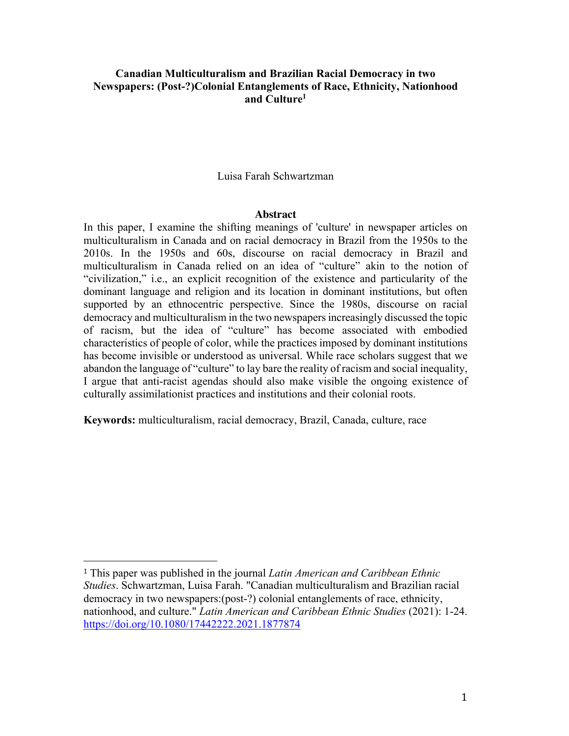### **Canadian Multiculturalism and Brazilian Racial Democracy in two Newspapers: (Post-?)Colonial Entanglements of Race, Ethnicity, Nationhood and Culture1**

#### Luisa Farah Schwartzman

#### **Abstract**

In this paper, I examine the shifting meanings of 'culture' in newspaper articles on multiculturalism in Canada and on racial democracy in Brazil from the 1950s to the 2010s. In the 1950s and 60s, discourse on racial democracy in Brazil and multiculturalism in Canada relied on an idea of "culture" akin to the notion of "civilization," i.e., an explicit recognition of the existence and particularity of the dominant language and religion and its location in dominant institutions, but often supported by an ethnocentric perspective. Since the 1980s, discourse on racial democracy and multiculturalism in the two newspapers increasingly discussed the topic of racism, but the idea of "culture" has become associated with embodied characteristics of people of color, while the practices imposed by dominant institutions has become invisible or understood as universal. While race scholars suggest that we abandon the language of "culture" to lay bare the reality of racism and social inequality, I argue that anti-racist agendas should also make visible the ongoing existence of culturally assimilationist practices and institutions and their colonial roots.

**Keywords:** multiculturalism, racial democracy, Brazil, Canada, culture, race

<sup>1</sup> This paper was published in the journal *Latin American and Caribbean Ethnic Studies*. Schwartzman, Luisa Farah. "Canadian multiculturalism and Brazilian racial democracy in two newspapers:(post-?) colonial entanglements of race, ethnicity, nationhood, and culture." *Latin American and Caribbean Ethnic Studies* (2021): 1-24. https://doi.org/10.1080/17442222.2021.1877874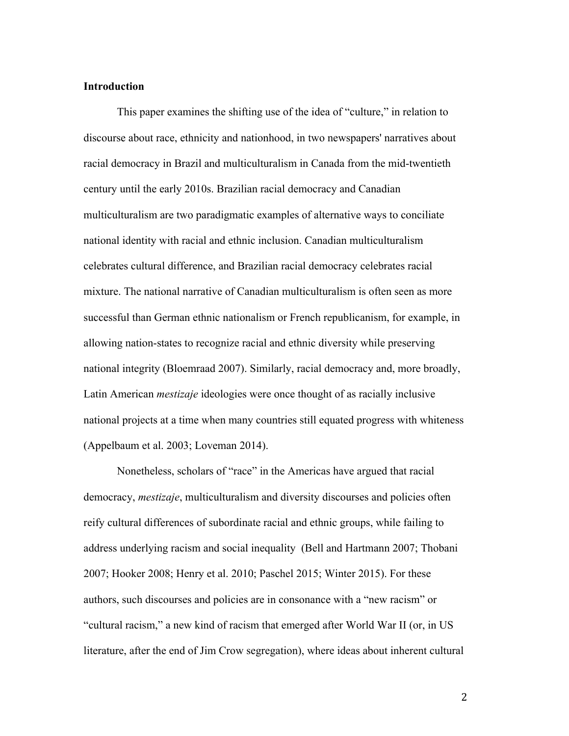#### **Introduction**

This paper examines the shifting use of the idea of "culture," in relation to discourse about race, ethnicity and nationhood, in two newspapers' narratives about racial democracy in Brazil and multiculturalism in Canada from the mid-twentieth century until the early 2010s. Brazilian racial democracy and Canadian multiculturalism are two paradigmatic examples of alternative ways to conciliate national identity with racial and ethnic inclusion. Canadian multiculturalism celebrates cultural difference, and Brazilian racial democracy celebrates racial mixture. The national narrative of Canadian multiculturalism is often seen as more successful than German ethnic nationalism or French republicanism, for example, in allowing nation-states to recognize racial and ethnic diversity while preserving national integrity (Bloemraad 2007). Similarly, racial democracy and, more broadly, Latin American *mestizaje* ideologies were once thought of as racially inclusive national projects at a time when many countries still equated progress with whiteness (Appelbaum et al. 2003; Loveman 2014).

Nonetheless, scholars of "race" in the Americas have argued that racial democracy, *mestizaje*, multiculturalism and diversity discourses and policies often reify cultural differences of subordinate racial and ethnic groups, while failing to address underlying racism and social inequality (Bell and Hartmann 2007; Thobani 2007; Hooker 2008; Henry et al. 2010; Paschel 2015; Winter 2015). For these authors, such discourses and policies are in consonance with a "new racism" or "cultural racism," a new kind of racism that emerged after World War II (or, in US literature, after the end of Jim Crow segregation), where ideas about inherent cultural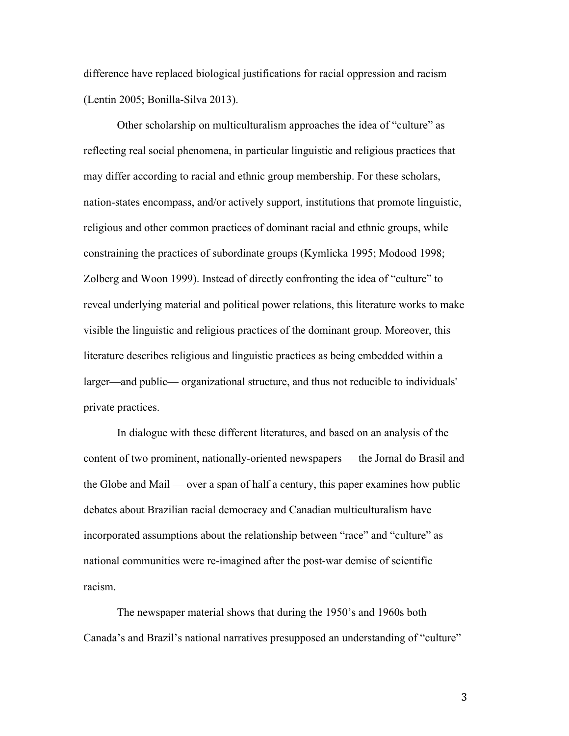difference have replaced biological justifications for racial oppression and racism (Lentin 2005; Bonilla-Silva 2013).

Other scholarship on multiculturalism approaches the idea of "culture" as reflecting real social phenomena, in particular linguistic and religious practices that may differ according to racial and ethnic group membership. For these scholars, nation-states encompass, and/or actively support, institutions that promote linguistic, religious and other common practices of dominant racial and ethnic groups, while constraining the practices of subordinate groups (Kymlicka 1995; Modood 1998; Zolberg and Woon 1999). Instead of directly confronting the idea of "culture" to reveal underlying material and political power relations, this literature works to make visible the linguistic and religious practices of the dominant group. Moreover, this literature describes religious and linguistic practices as being embedded within a larger—and public— organizational structure, and thus not reducible to individuals' private practices.

In dialogue with these different literatures, and based on an analysis of the content of two prominent, nationally-oriented newspapers — the Jornal do Brasil and the Globe and Mail — over a span of half a century, this paper examines how public debates about Brazilian racial democracy and Canadian multiculturalism have incorporated assumptions about the relationship between "race" and "culture" as national communities were re-imagined after the post-war demise of scientific racism.

The newspaper material shows that during the 1950's and 1960s both Canada's and Brazil's national narratives presupposed an understanding of "culture"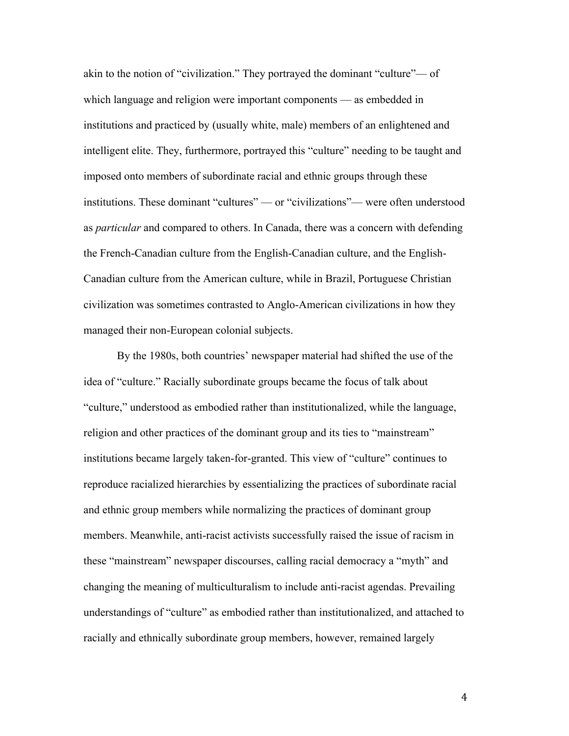akin to the notion of "civilization." They portrayed the dominant "culture"— of which language and religion were important components — as embedded in institutions and practiced by (usually white, male) members of an enlightened and intelligent elite. They, furthermore, portrayed this "culture" needing to be taught and imposed onto members of subordinate racial and ethnic groups through these institutions. These dominant "cultures" — or "civilizations"— were often understood as *particular* and compared to others. In Canada, there was a concern with defending the French-Canadian culture from the English-Canadian culture, and the English-Canadian culture from the American culture, while in Brazil, Portuguese Christian civilization was sometimes contrasted to Anglo-American civilizations in how they managed their non-European colonial subjects.

By the 1980s, both countries' newspaper material had shifted the use of the idea of "culture." Racially subordinate groups became the focus of talk about "culture," understood as embodied rather than institutionalized, while the language, religion and other practices of the dominant group and its ties to "mainstream" institutions became largely taken-for-granted. This view of "culture" continues to reproduce racialized hierarchies by essentializing the practices of subordinate racial and ethnic group members while normalizing the practices of dominant group members. Meanwhile, anti-racist activists successfully raised the issue of racism in these "mainstream" newspaper discourses, calling racial democracy a "myth" and changing the meaning of multiculturalism to include anti-racist agendas. Prevailing understandings of "culture" as embodied rather than institutionalized, and attached to racially and ethnically subordinate group members, however, remained largely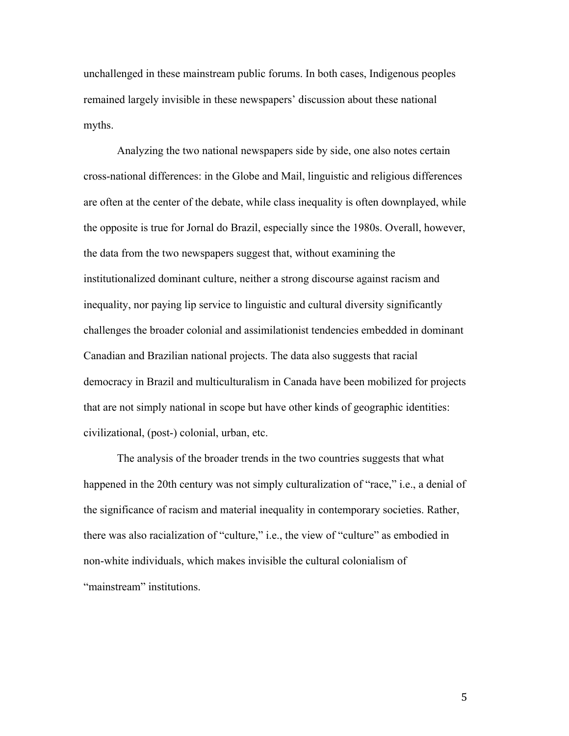unchallenged in these mainstream public forums. In both cases, Indigenous peoples remained largely invisible in these newspapers' discussion about these national myths.

Analyzing the two national newspapers side by side, one also notes certain cross-national differences: in the Globe and Mail, linguistic and religious differences are often at the center of the debate, while class inequality is often downplayed, while the opposite is true for Jornal do Brazil, especially since the 1980s. Overall, however, the data from the two newspapers suggest that, without examining the institutionalized dominant culture, neither a strong discourse against racism and inequality, nor paying lip service to linguistic and cultural diversity significantly challenges the broader colonial and assimilationist tendencies embedded in dominant Canadian and Brazilian national projects. The data also suggests that racial democracy in Brazil and multiculturalism in Canada have been mobilized for projects that are not simply national in scope but have other kinds of geographic identities: civilizational, (post-) colonial, urban, etc.

The analysis of the broader trends in the two countries suggests that what happened in the 20th century was not simply culturalization of "race," i.e., a denial of the significance of racism and material inequality in contemporary societies. Rather, there was also racialization of "culture," i.e., the view of "culture" as embodied in non-white individuals, which makes invisible the cultural colonialism of "mainstream" institutions.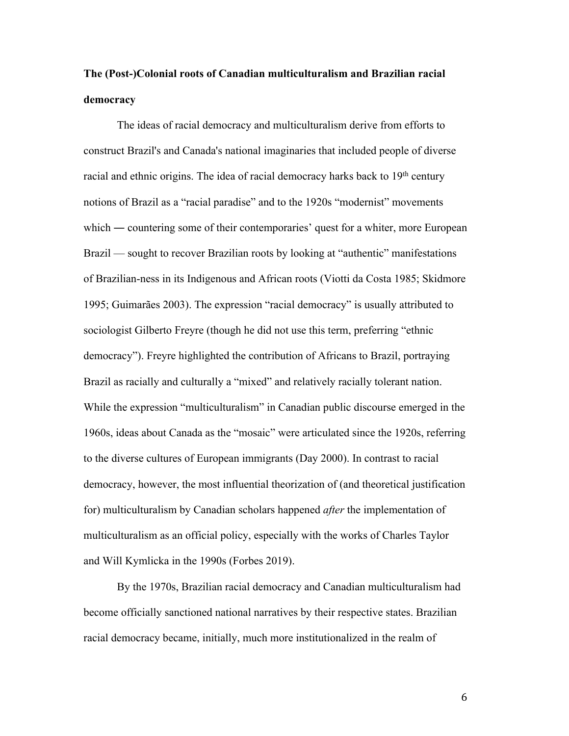## **The (Post-)Colonial roots of Canadian multiculturalism and Brazilian racial democracy**

The ideas of racial democracy and multiculturalism derive from efforts to construct Brazil's and Canada's national imaginaries that included people of diverse racial and ethnic origins. The idea of racial democracy harks back to  $19<sup>th</sup>$  century notions of Brazil as a "racial paradise" and to the 1920s "modernist" movements which — countering some of their contemporaries' quest for a whiter, more European Brazil — sought to recover Brazilian roots by looking at "authentic" manifestations of Brazilian-ness in its Indigenous and African roots (Viotti da Costa 1985; Skidmore 1995; Guimarães 2003). The expression "racial democracy" is usually attributed to sociologist Gilberto Freyre (though he did not use this term, preferring "ethnic democracy"). Freyre highlighted the contribution of Africans to Brazil, portraying Brazil as racially and culturally a "mixed" and relatively racially tolerant nation. While the expression "multiculturalism" in Canadian public discourse emerged in the 1960s, ideas about Canada as the "mosaic" were articulated since the 1920s, referring to the diverse cultures of European immigrants (Day 2000). In contrast to racial democracy, however, the most influential theorization of (and theoretical justification for) multiculturalism by Canadian scholars happened *after* the implementation of multiculturalism as an official policy, especially with the works of Charles Taylor and Will Kymlicka in the 1990s (Forbes 2019).

By the 1970s, Brazilian racial democracy and Canadian multiculturalism had become officially sanctioned national narratives by their respective states. Brazilian racial democracy became, initially, much more institutionalized in the realm of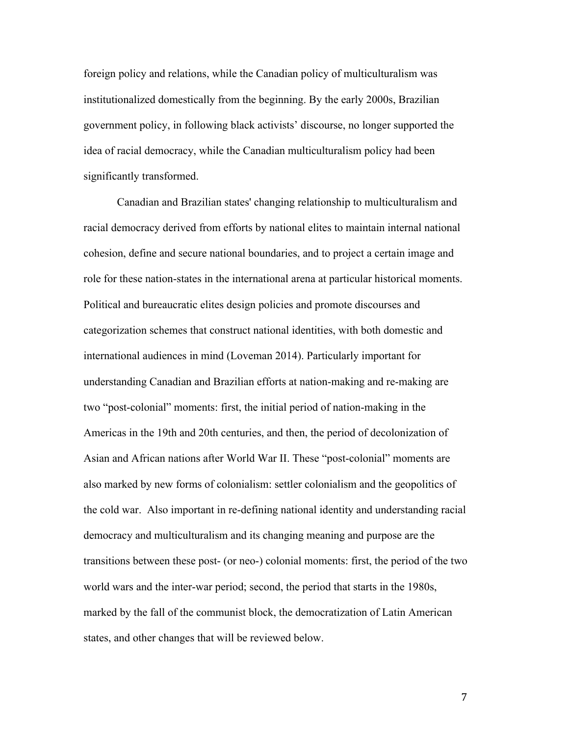foreign policy and relations, while the Canadian policy of multiculturalism was institutionalized domestically from the beginning. By the early 2000s, Brazilian government policy, in following black activists' discourse, no longer supported the idea of racial democracy, while the Canadian multiculturalism policy had been significantly transformed.

Canadian and Brazilian states' changing relationship to multiculturalism and racial democracy derived from efforts by national elites to maintain internal national cohesion, define and secure national boundaries, and to project a certain image and role for these nation-states in the international arena at particular historical moments. Political and bureaucratic elites design policies and promote discourses and categorization schemes that construct national identities, with both domestic and international audiences in mind (Loveman 2014). Particularly important for understanding Canadian and Brazilian efforts at nation-making and re-making are two "post-colonial" moments: first, the initial period of nation-making in the Americas in the 19th and 20th centuries, and then, the period of decolonization of Asian and African nations after World War II. These "post-colonial" moments are also marked by new forms of colonialism: settler colonialism and the geopolitics of the cold war. Also important in re-defining national identity and understanding racial democracy and multiculturalism and its changing meaning and purpose are the transitions between these post- (or neo-) colonial moments: first, the period of the two world wars and the inter-war period; second, the period that starts in the 1980s, marked by the fall of the communist block, the democratization of Latin American states, and other changes that will be reviewed below.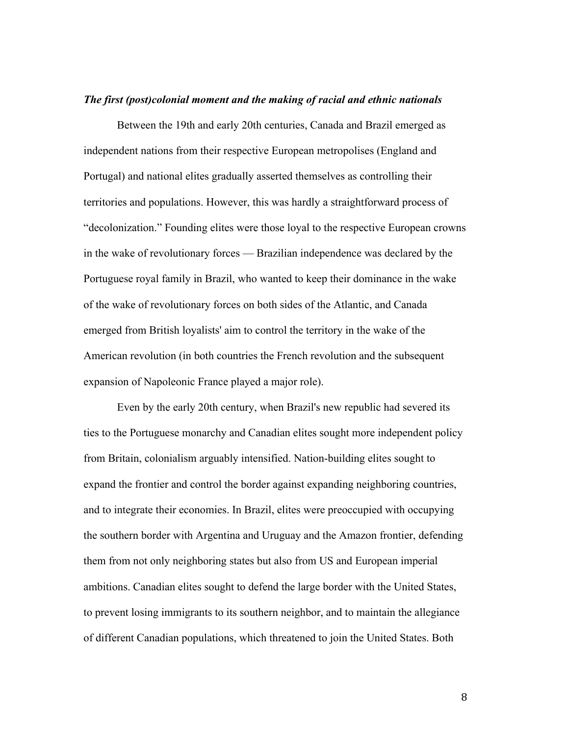#### *The first (post)colonial moment and the making of racial and ethnic nationals*

Between the 19th and early 20th centuries, Canada and Brazil emerged as independent nations from their respective European metropolises (England and Portugal) and national elites gradually asserted themselves as controlling their territories and populations. However, this was hardly a straightforward process of "decolonization." Founding elites were those loyal to the respective European crowns in the wake of revolutionary forces — Brazilian independence was declared by the Portuguese royal family in Brazil, who wanted to keep their dominance in the wake of the wake of revolutionary forces on both sides of the Atlantic, and Canada emerged from British loyalists' aim to control the territory in the wake of the American revolution (in both countries the French revolution and the subsequent expansion of Napoleonic France played a major role).

Even by the early 20th century, when Brazil's new republic had severed its ties to the Portuguese monarchy and Canadian elites sought more independent policy from Britain, colonialism arguably intensified. Nation-building elites sought to expand the frontier and control the border against expanding neighboring countries, and to integrate their economies. In Brazil, elites were preoccupied with occupying the southern border with Argentina and Uruguay and the Amazon frontier, defending them from not only neighboring states but also from US and European imperial ambitions. Canadian elites sought to defend the large border with the United States, to prevent losing immigrants to its southern neighbor, and to maintain the allegiance of different Canadian populations, which threatened to join the United States. Both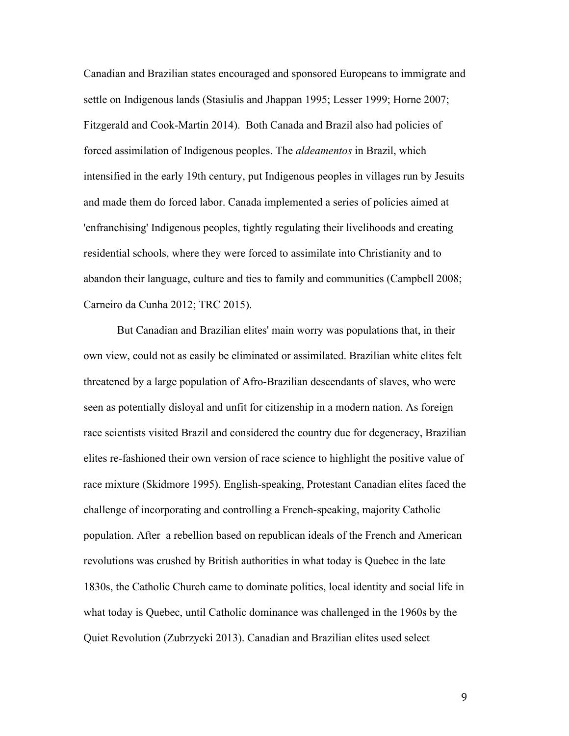Canadian and Brazilian states encouraged and sponsored Europeans to immigrate and settle on Indigenous lands (Stasiulis and Jhappan 1995; Lesser 1999; Horne 2007; Fitzgerald and Cook-Martin 2014). Both Canada and Brazil also had policies of forced assimilation of Indigenous peoples. The *aldeamentos* in Brazil, which intensified in the early 19th century, put Indigenous peoples in villages run by Jesuits and made them do forced labor. Canada implemented a series of policies aimed at 'enfranchising' Indigenous peoples, tightly regulating their livelihoods and creating residential schools, where they were forced to assimilate into Christianity and to abandon their language, culture and ties to family and communities (Campbell 2008; Carneiro da Cunha 2012; TRC 2015).

But Canadian and Brazilian elites' main worry was populations that, in their own view, could not as easily be eliminated or assimilated. Brazilian white elites felt threatened by a large population of Afro-Brazilian descendants of slaves, who were seen as potentially disloyal and unfit for citizenship in a modern nation. As foreign race scientists visited Brazil and considered the country due for degeneracy, Brazilian elites re-fashioned their own version of race science to highlight the positive value of race mixture (Skidmore 1995). English-speaking, Protestant Canadian elites faced the challenge of incorporating and controlling a French-speaking, majority Catholic population. After a rebellion based on republican ideals of the French and American revolutions was crushed by British authorities in what today is Quebec in the late 1830s, the Catholic Church came to dominate politics, local identity and social life in what today is Quebec, until Catholic dominance was challenged in the 1960s by the Quiet Revolution (Zubrzycki 2013). Canadian and Brazilian elites used select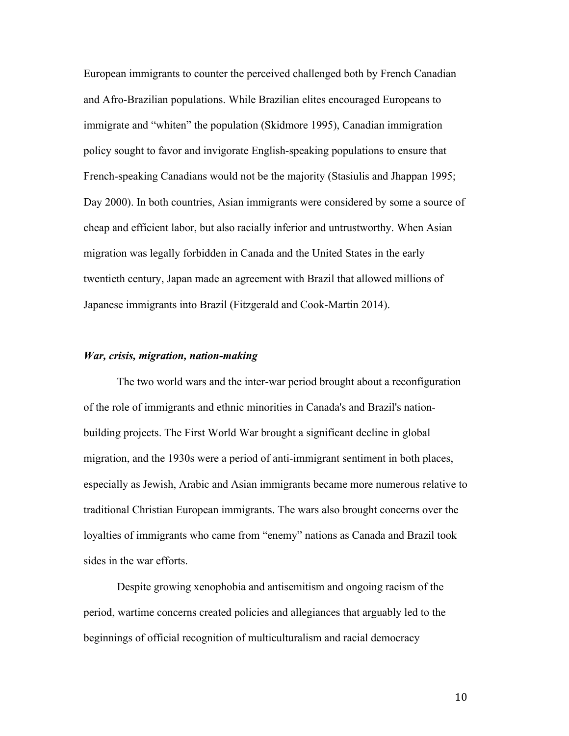European immigrants to counter the perceived challenged both by French Canadian and Afro-Brazilian populations. While Brazilian elites encouraged Europeans to immigrate and "whiten" the population (Skidmore 1995), Canadian immigration policy sought to favor and invigorate English-speaking populations to ensure that French-speaking Canadians would not be the majority (Stasiulis and Jhappan 1995; Day 2000). In both countries, Asian immigrants were considered by some a source of cheap and efficient labor, but also racially inferior and untrustworthy. When Asian migration was legally forbidden in Canada and the United States in the early twentieth century, Japan made an agreement with Brazil that allowed millions of Japanese immigrants into Brazil (Fitzgerald and Cook-Martin 2014).

#### *War, crisis, migration, nation-making*

The two world wars and the inter-war period brought about a reconfiguration of the role of immigrants and ethnic minorities in Canada's and Brazil's nationbuilding projects. The First World War brought a significant decline in global migration, and the 1930s were a period of anti-immigrant sentiment in both places, especially as Jewish, Arabic and Asian immigrants became more numerous relative to traditional Christian European immigrants. The wars also brought concerns over the loyalties of immigrants who came from "enemy" nations as Canada and Brazil took sides in the war efforts.

Despite growing xenophobia and antisemitism and ongoing racism of the period, wartime concerns created policies and allegiances that arguably led to the beginnings of official recognition of multiculturalism and racial democracy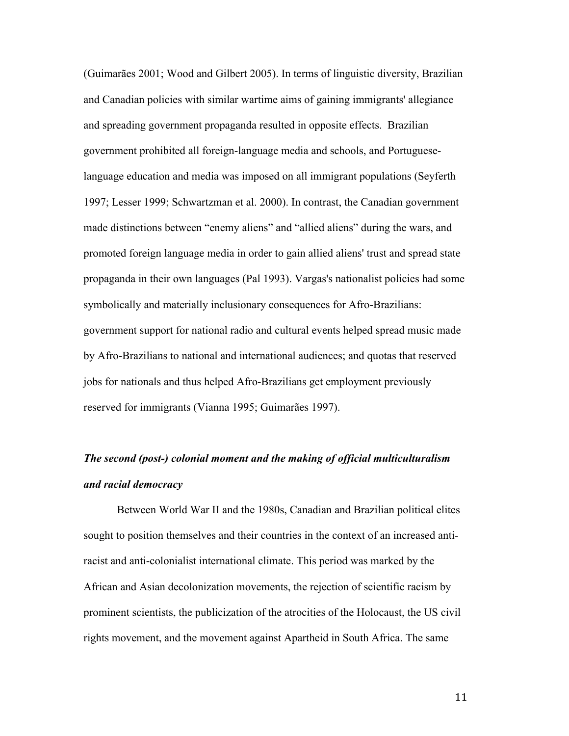(Guimarães 2001; Wood and Gilbert 2005). In terms of linguistic diversity, Brazilian and Canadian policies with similar wartime aims of gaining immigrants' allegiance and spreading government propaganda resulted in opposite effects. Brazilian government prohibited all foreign-language media and schools, and Portugueselanguage education and media was imposed on all immigrant populations (Seyferth 1997; Lesser 1999; Schwartzman et al. 2000). In contrast, the Canadian government made distinctions between "enemy aliens" and "allied aliens" during the wars, and promoted foreign language media in order to gain allied aliens' trust and spread state propaganda in their own languages (Pal 1993). Vargas's nationalist policies had some symbolically and materially inclusionary consequences for Afro-Brazilians: government support for national radio and cultural events helped spread music made by Afro-Brazilians to national and international audiences; and quotas that reserved jobs for nationals and thus helped Afro-Brazilians get employment previously reserved for immigrants (Vianna 1995; Guimarães 1997).

# *The second (post-) colonial moment and the making of official multiculturalism and racial democracy*

Between World War II and the 1980s, Canadian and Brazilian political elites sought to position themselves and their countries in the context of an increased antiracist and anti-colonialist international climate. This period was marked by the African and Asian decolonization movements, the rejection of scientific racism by prominent scientists, the publicization of the atrocities of the Holocaust, the US civil rights movement, and the movement against Apartheid in South Africa. The same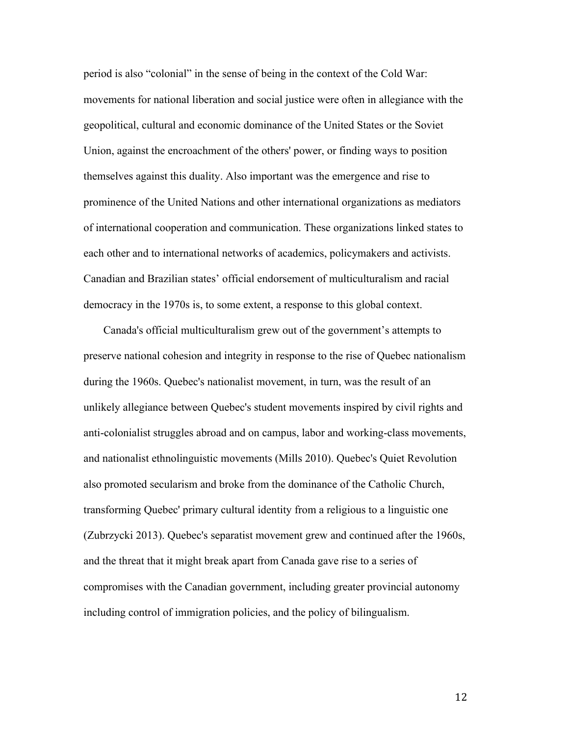period is also "colonial" in the sense of being in the context of the Cold War: movements for national liberation and social justice were often in allegiance with the geopolitical, cultural and economic dominance of the United States or the Soviet Union, against the encroachment of the others' power, or finding ways to position themselves against this duality. Also important was the emergence and rise to prominence of the United Nations and other international organizations as mediators of international cooperation and communication. These organizations linked states to each other and to international networks of academics, policymakers and activists. Canadian and Brazilian states' official endorsement of multiculturalism and racial democracy in the 1970s is, to some extent, a response to this global context.

Canada's official multiculturalism grew out of the government's attempts to preserve national cohesion and integrity in response to the rise of Quebec nationalism during the 1960s. Quebec's nationalist movement, in turn, was the result of an unlikely allegiance between Quebec's student movements inspired by civil rights and anti-colonialist struggles abroad and on campus, labor and working-class movements, and nationalist ethnolinguistic movements (Mills 2010). Quebec's Quiet Revolution also promoted secularism and broke from the dominance of the Catholic Church, transforming Quebec' primary cultural identity from a religious to a linguistic one (Zubrzycki 2013). Quebec's separatist movement grew and continued after the 1960s, and the threat that it might break apart from Canada gave rise to a series of compromises with the Canadian government, including greater provincial autonomy including control of immigration policies, and the policy of bilingualism.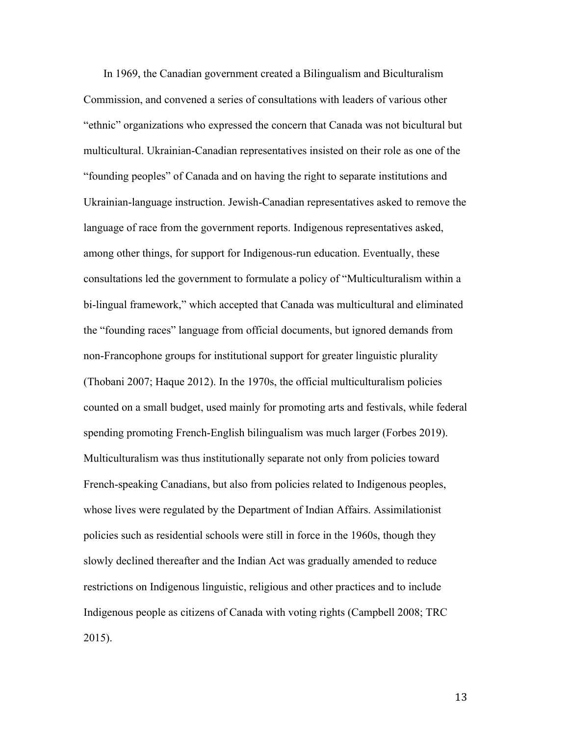In 1969, the Canadian government created a Bilingualism and Biculturalism Commission, and convened a series of consultations with leaders of various other "ethnic" organizations who expressed the concern that Canada was not bicultural but multicultural. Ukrainian-Canadian representatives insisted on their role as one of the "founding peoples" of Canada and on having the right to separate institutions and Ukrainian-language instruction. Jewish-Canadian representatives asked to remove the language of race from the government reports. Indigenous representatives asked, among other things, for support for Indigenous-run education. Eventually, these consultations led the government to formulate a policy of "Multiculturalism within a bi-lingual framework," which accepted that Canada was multicultural and eliminated the "founding races" language from official documents, but ignored demands from non-Francophone groups for institutional support for greater linguistic plurality (Thobani 2007; Haque 2012). In the 1970s, the official multiculturalism policies counted on a small budget, used mainly for promoting arts and festivals, while federal spending promoting French-English bilingualism was much larger (Forbes 2019). Multiculturalism was thus institutionally separate not only from policies toward French-speaking Canadians, but also from policies related to Indigenous peoples, whose lives were regulated by the Department of Indian Affairs. Assimilationist policies such as residential schools were still in force in the 1960s, though they slowly declined thereafter and the Indian Act was gradually amended to reduce restrictions on Indigenous linguistic, religious and other practices and to include Indigenous people as citizens of Canada with voting rights (Campbell 2008; TRC 2015).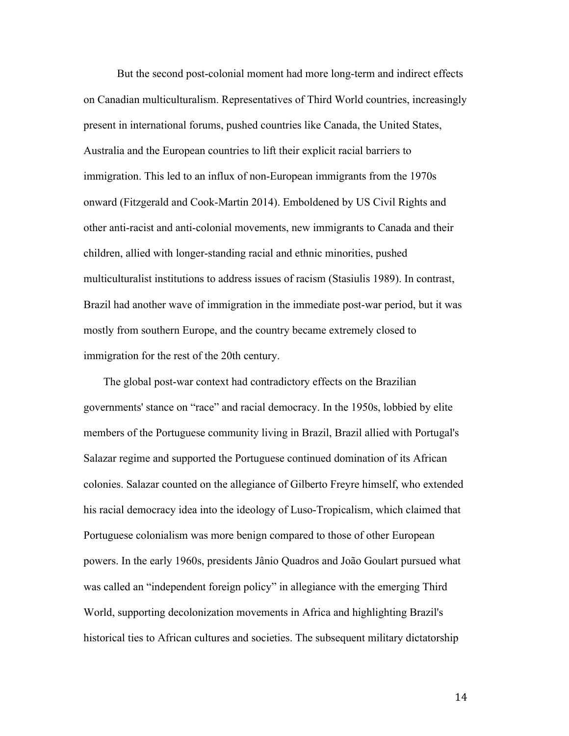But the second post-colonial moment had more long-term and indirect effects on Canadian multiculturalism. Representatives of Third World countries, increasingly present in international forums, pushed countries like Canada, the United States, Australia and the European countries to lift their explicit racial barriers to immigration. This led to an influx of non-European immigrants from the 1970s onward (Fitzgerald and Cook-Martin 2014). Emboldened by US Civil Rights and other anti-racist and anti-colonial movements, new immigrants to Canada and their children, allied with longer-standing racial and ethnic minorities, pushed multiculturalist institutions to address issues of racism (Stasiulis 1989). In contrast, Brazil had another wave of immigration in the immediate post-war period, but it was mostly from southern Europe, and the country became extremely closed to immigration for the rest of the 20th century.

The global post-war context had contradictory effects on the Brazilian governments' stance on "race" and racial democracy. In the 1950s, lobbied by elite members of the Portuguese community living in Brazil, Brazil allied with Portugal's Salazar regime and supported the Portuguese continued domination of its African colonies. Salazar counted on the allegiance of Gilberto Freyre himself, who extended his racial democracy idea into the ideology of Luso-Tropicalism, which claimed that Portuguese colonialism was more benign compared to those of other European powers. In the early 1960s, presidents Jânio Quadros and João Goulart pursued what was called an "independent foreign policy" in allegiance with the emerging Third World, supporting decolonization movements in Africa and highlighting Brazil's historical ties to African cultures and societies. The subsequent military dictatorship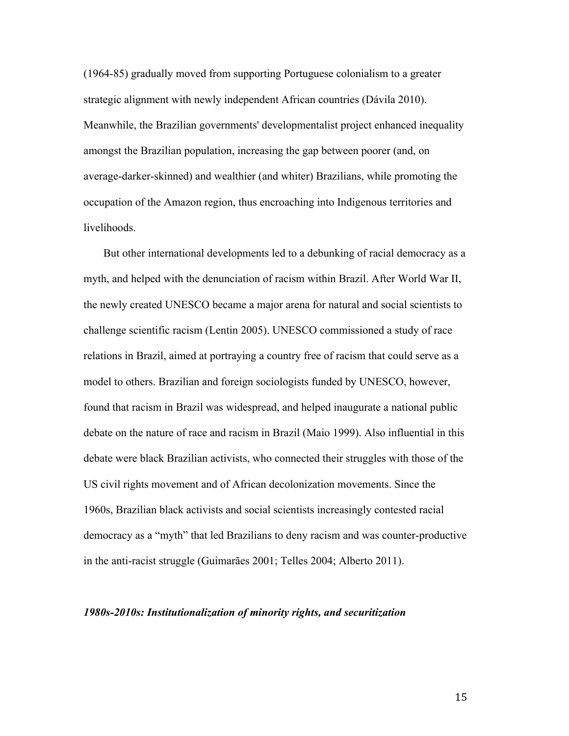(1964-85) gradually moved from supporting Portuguese colonialism to a greater strategic alignment with newly independent African countries (Dávila 2010). Meanwhile, the Brazilian governments' developmentalist project enhanced inequality amongst the Brazilian population, increasing the gap between poorer (and, on average-darker-skinned) and wealthier (and whiter) Brazilians, while promoting the occupation of the Amazon region, thus encroaching into Indigenous territories and livelihoods.

But other international developments led to a debunking of racial democracy as a myth, and helped with the denunciation of racism within Brazil. After World War II, the newly created UNESCO became a major arena for natural and social scientists to challenge scientific racism (Lentin 2005). UNESCO commissioned a study of race relations in Brazil, aimed at portraying a country free of racism that could serve as a model to others. Brazilian and foreign sociologists funded by UNESCO, however, found that racism in Brazil was widespread, and helped inaugurate a national public debate on the nature of race and racism in Brazil (Maio 1999). Also influential in this debate were black Brazilian activists, who connected their struggles with those of the US civil rights movement and of African decolonization movements. Since the 1960s, Brazilian black activists and social scientists increasingly contested racial democracy as a "myth" that led Brazilians to deny racism and was counter-productive in the anti-racist struggle (Guimarães 2001; Telles 2004; Alberto 2011).

#### *1980s-2010s: Institutionalization of minority rights, and securitization*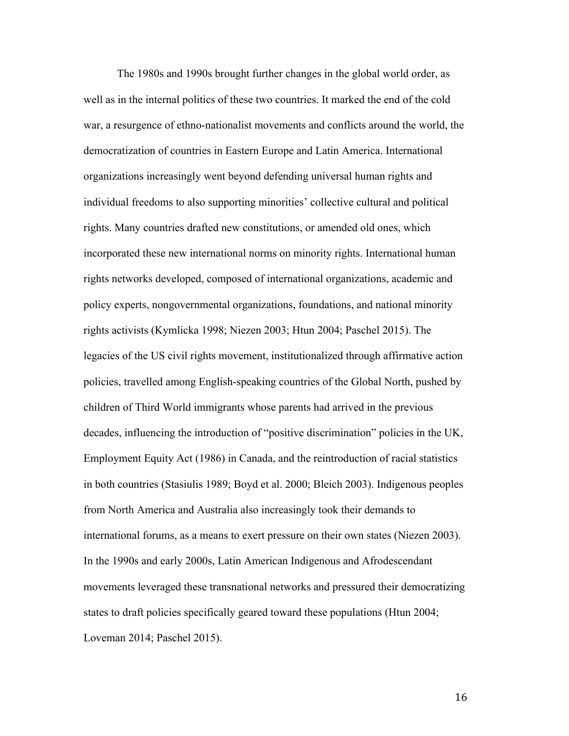The 1980s and 1990s brought further changes in the global world order, as well as in the internal politics of these two countries. It marked the end of the cold war, a resurgence of ethno-nationalist movements and conflicts around the world, the democratization of countries in Eastern Europe and Latin America. International organizations increasingly went beyond defending universal human rights and individual freedoms to also supporting minorities' collective cultural and political rights. Many countries drafted new constitutions, or amended old ones, which incorporated these new international norms on minority rights. International human rights networks developed, composed of international organizations, academic and policy experts, nongovernmental organizations, foundations, and national minority rights activists (Kymlicka 1998; Niezen 2003; Htun 2004; Paschel 2015). The legacies of the US civil rights movement, institutionalized through affirmative action policies, travelled among English-speaking countries of the Global North, pushed by children of Third World immigrants whose parents had arrived in the previous decades, influencing the introduction of "positive discrimination" policies in the UK, Employment Equity Act (1986) in Canada, and the reintroduction of racial statistics in both countries (Stasiulis 1989; Boyd et al. 2000; Bleich 2003). Indigenous peoples from North America and Australia also increasingly took their demands to international forums, as a means to exert pressure on their own states (Niezen 2003). In the 1990s and early 2000s, Latin American Indigenous and Afrodescendant movements leveraged these transnational networks and pressured their democratizing states to draft policies specifically geared toward these populations (Htun 2004; Loveman 2014; Paschel 2015).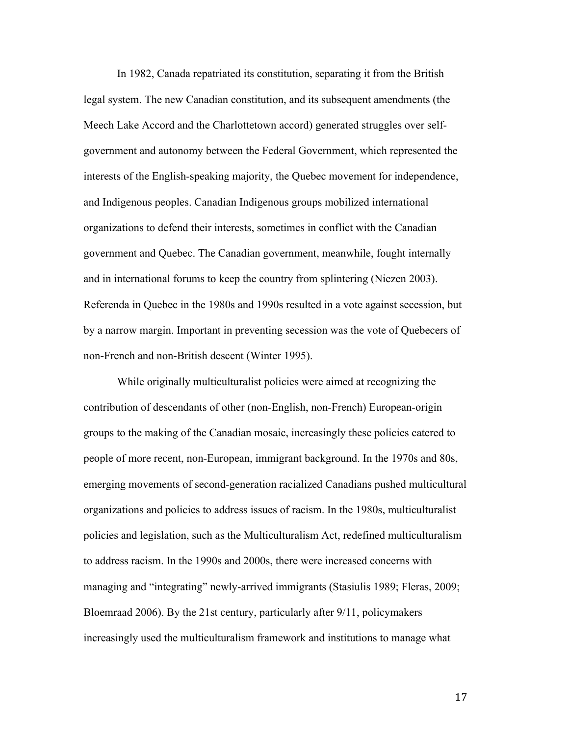In 1982, Canada repatriated its constitution, separating it from the British legal system. The new Canadian constitution, and its subsequent amendments (the Meech Lake Accord and the Charlottetown accord) generated struggles over selfgovernment and autonomy between the Federal Government, which represented the interests of the English-speaking majority, the Quebec movement for independence, and Indigenous peoples. Canadian Indigenous groups mobilized international organizations to defend their interests, sometimes in conflict with the Canadian government and Quebec. The Canadian government, meanwhile, fought internally and in international forums to keep the country from splintering (Niezen 2003). Referenda in Quebec in the 1980s and 1990s resulted in a vote against secession, but by a narrow margin. Important in preventing secession was the vote of Quebecers of non-French and non-British descent (Winter 1995).

While originally multiculturalist policies were aimed at recognizing the contribution of descendants of other (non-English, non-French) European-origin groups to the making of the Canadian mosaic, increasingly these policies catered to people of more recent, non-European, immigrant background. In the 1970s and 80s, emerging movements of second-generation racialized Canadians pushed multicultural organizations and policies to address issues of racism. In the 1980s, multiculturalist policies and legislation, such as the Multiculturalism Act, redefined multiculturalism to address racism. In the 1990s and 2000s, there were increased concerns with managing and "integrating" newly-arrived immigrants (Stasiulis 1989; Fleras, 2009; Bloemraad 2006). By the 21st century, particularly after 9/11, policymakers increasingly used the multiculturalism framework and institutions to manage what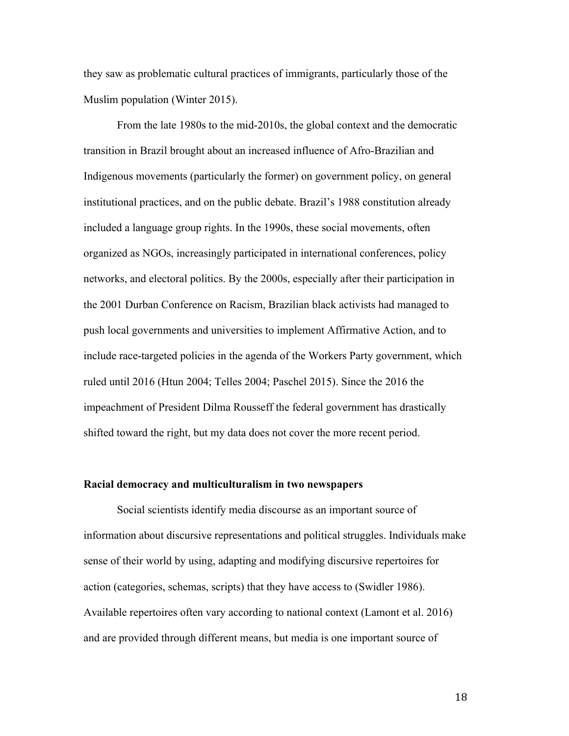they saw as problematic cultural practices of immigrants, particularly those of the Muslim population (Winter 2015).

From the late 1980s to the mid-2010s, the global context and the democratic transition in Brazil brought about an increased influence of Afro-Brazilian and Indigenous movements (particularly the former) on government policy, on general institutional practices, and on the public debate. Brazil's 1988 constitution already included a language group rights. In the 1990s, these social movements, often organized as NGOs, increasingly participated in international conferences, policy networks, and electoral politics. By the 2000s, especially after their participation in the 2001 Durban Conference on Racism, Brazilian black activists had managed to push local governments and universities to implement Affirmative Action, and to include race-targeted policies in the agenda of the Workers Party government, which ruled until 2016 (Htun 2004; Telles 2004; Paschel 2015). Since the 2016 the impeachment of President Dilma Rousseff the federal government has drastically shifted toward the right, but my data does not cover the more recent period.

#### **Racial democracy and multiculturalism in two newspapers**

Social scientists identify media discourse as an important source of information about discursive representations and political struggles. Individuals make sense of their world by using, adapting and modifying discursive repertoires for action (categories, schemas, scripts) that they have access to (Swidler 1986). Available repertoires often vary according to national context (Lamont et al. 2016) and are provided through different means, but media is one important source of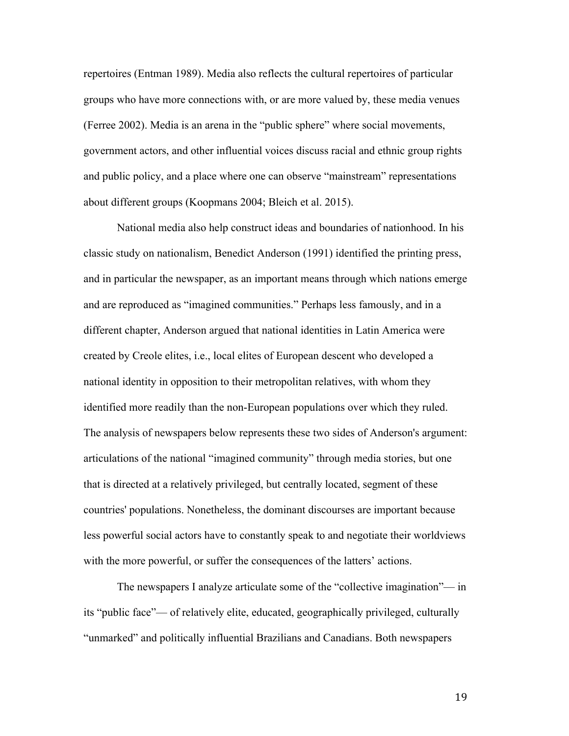repertoires (Entman 1989). Media also reflects the cultural repertoires of particular groups who have more connections with, or are more valued by, these media venues (Ferree 2002). Media is an arena in the "public sphere" where social movements, government actors, and other influential voices discuss racial and ethnic group rights and public policy, and a place where one can observe "mainstream" representations about different groups (Koopmans 2004; Bleich et al. 2015).

National media also help construct ideas and boundaries of nationhood. In his classic study on nationalism, Benedict Anderson (1991) identified the printing press, and in particular the newspaper, as an important means through which nations emerge and are reproduced as "imagined communities." Perhaps less famously, and in a different chapter, Anderson argued that national identities in Latin America were created by Creole elites, i.e., local elites of European descent who developed a national identity in opposition to their metropolitan relatives, with whom they identified more readily than the non-European populations over which they ruled. The analysis of newspapers below represents these two sides of Anderson's argument: articulations of the national "imagined community" through media stories, but one that is directed at a relatively privileged, but centrally located, segment of these countries' populations. Nonetheless, the dominant discourses are important because less powerful social actors have to constantly speak to and negotiate their worldviews with the more powerful, or suffer the consequences of the latters' actions.

The newspapers I analyze articulate some of the "collective imagination"— in its "public face"— of relatively elite, educated, geographically privileged, culturally "unmarked" and politically influential Brazilians and Canadians. Both newspapers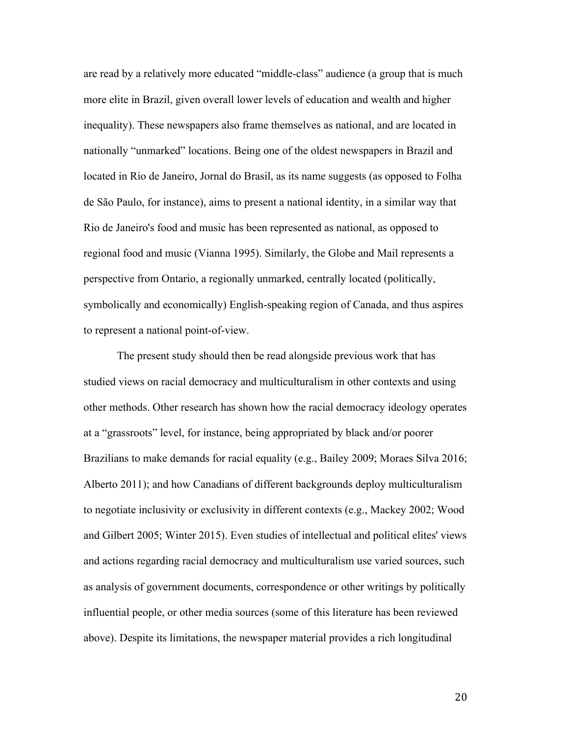are read by a relatively more educated "middle-class" audience (a group that is much more elite in Brazil, given overall lower levels of education and wealth and higher inequality). These newspapers also frame themselves as national, and are located in nationally "unmarked" locations. Being one of the oldest newspapers in Brazil and located in Rio de Janeiro, Jornal do Brasil, as its name suggests (as opposed to Folha de São Paulo, for instance), aims to present a national identity, in a similar way that Rio de Janeiro's food and music has been represented as national, as opposed to regional food and music (Vianna 1995). Similarly, the Globe and Mail represents a perspective from Ontario, a regionally unmarked, centrally located (politically, symbolically and economically) English-speaking region of Canada, and thus aspires to represent a national point-of-view.

The present study should then be read alongside previous work that has studied views on racial democracy and multiculturalism in other contexts and using other methods. Other research has shown how the racial democracy ideology operates at a "grassroots" level, for instance, being appropriated by black and/or poorer Brazilians to make demands for racial equality (e.g., Bailey 2009; Moraes Silva 2016; Alberto 2011); and how Canadians of different backgrounds deploy multiculturalism to negotiate inclusivity or exclusivity in different contexts (e.g., Mackey 2002; Wood and Gilbert 2005; Winter 2015). Even studies of intellectual and political elites' views and actions regarding racial democracy and multiculturalism use varied sources, such as analysis of government documents, correspondence or other writings by politically influential people, or other media sources (some of this literature has been reviewed above). Despite its limitations, the newspaper material provides a rich longitudinal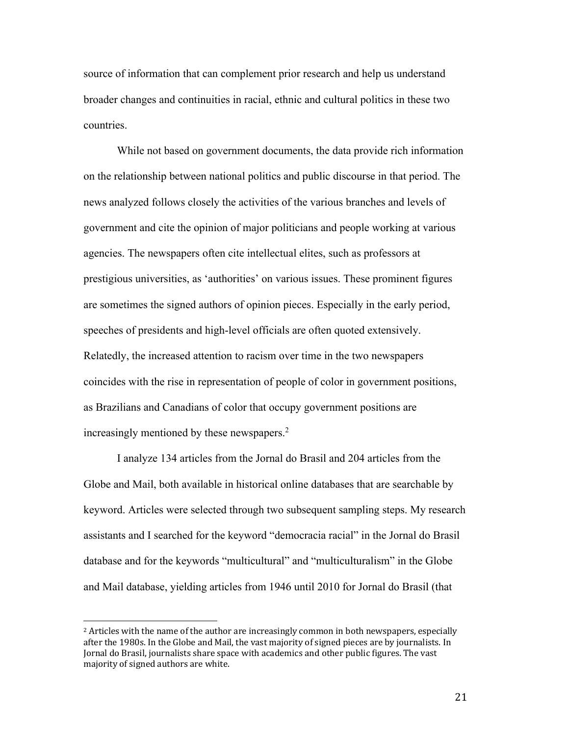source of information that can complement prior research and help us understand broader changes and continuities in racial, ethnic and cultural politics in these two countries.

While not based on government documents, the data provide rich information on the relationship between national politics and public discourse in that period. The news analyzed follows closely the activities of the various branches and levels of government and cite the opinion of major politicians and people working at various agencies. The newspapers often cite intellectual elites, such as professors at prestigious universities, as 'authorities' on various issues. These prominent figures are sometimes the signed authors of opinion pieces. Especially in the early period, speeches of presidents and high-level officials are often quoted extensively. Relatedly, the increased attention to racism over time in the two newspapers coincides with the rise in representation of people of color in government positions, as Brazilians and Canadians of color that occupy government positions are increasingly mentioned by these newspapers.<sup>2</sup>

I analyze 134 articles from the Jornal do Brasil and 204 articles from the Globe and Mail, both available in historical online databases that are searchable by keyword. Articles were selected through two subsequent sampling steps. My research assistants and I searched for the keyword "democracia racial" in the Jornal do Brasil database and for the keywords "multicultural" and "multiculturalism" in the Globe and Mail database, yielding articles from 1946 until 2010 for Jornal do Brasil (that

 $2$  Articles with the name of the author are increasingly common in both newspapers, especially after the 1980s. In the Globe and Mail, the vast majority of signed pieces are by journalists. In Jornal do Brasil, journalists share space with academics and other public figures. The vast majority of signed authors are white.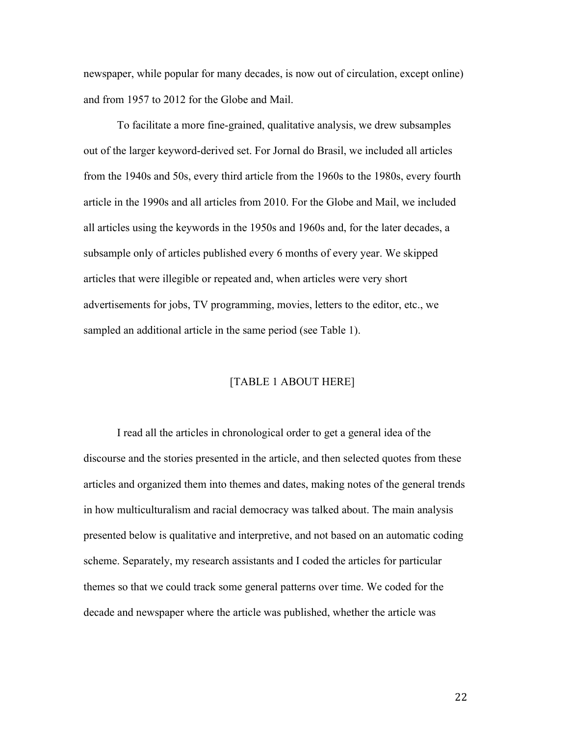newspaper, while popular for many decades, is now out of circulation, except online) and from 1957 to 2012 for the Globe and Mail.

To facilitate a more fine-grained, qualitative analysis, we drew subsamples out of the larger keyword-derived set. For Jornal do Brasil, we included all articles from the 1940s and 50s, every third article from the 1960s to the 1980s, every fourth article in the 1990s and all articles from 2010. For the Globe and Mail, we included all articles using the keywords in the 1950s and 1960s and, for the later decades, a subsample only of articles published every 6 months of every year. We skipped articles that were illegible or repeated and, when articles were very short advertisements for jobs, TV programming, movies, letters to the editor, etc., we sampled an additional article in the same period (see Table 1).

#### [TABLE 1 ABOUT HERE]

I read all the articles in chronological order to get a general idea of the discourse and the stories presented in the article, and then selected quotes from these articles and organized them into themes and dates, making notes of the general trends in how multiculturalism and racial democracy was talked about. The main analysis presented below is qualitative and interpretive, and not based on an automatic coding scheme. Separately, my research assistants and I coded the articles for particular themes so that we could track some general patterns over time. We coded for the decade and newspaper where the article was published, whether the article was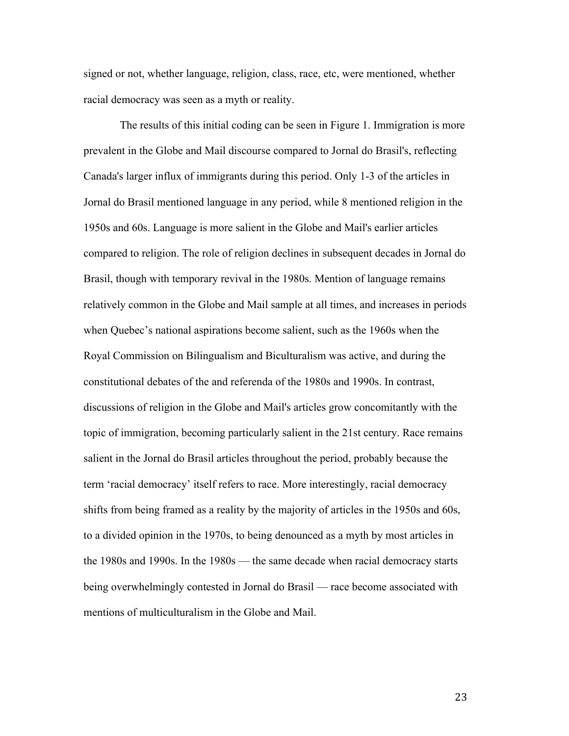signed or not, whether language, religion, class, race, etc, were mentioned, whether racial democracy was seen as a myth or reality.

The results of this initial coding can be seen in Figure 1. Immigration is more prevalent in the Globe and Mail discourse compared to Jornal do Brasil's, reflecting Canada's larger influx of immigrants during this period. Only 1-3 of the articles in Jornal do Brasil mentioned language in any period, while 8 mentioned religion in the 1950s and 60s. Language is more salient in the Globe and Mail's earlier articles compared to religion. The role of religion declines in subsequent decades in Jornal do Brasil, though with temporary revival in the 1980s. Mention of language remains relatively common in the Globe and Mail sample at all times, and increases in periods when Quebec's national aspirations become salient, such as the 1960s when the Royal Commission on Bilingualism and Biculturalism was active, and during the constitutional debates of the and referenda of the 1980s and 1990s. In contrast, discussions of religion in the Globe and Mail's articles grow concomitantly with the topic of immigration, becoming particularly salient in the 21st century. Race remains salient in the Jornal do Brasil articles throughout the period, probably because the term 'racial democracy' itself refers to race. More interestingly, racial democracy shifts from being framed as a reality by the majority of articles in the 1950s and 60s, to a divided opinion in the 1970s, to being denounced as a myth by most articles in the 1980s and 1990s. In the 1980s — the same decade when racial democracy starts being overwhelmingly contested in Jornal do Brasil — race become associated with mentions of multiculturalism in the Globe and Mail.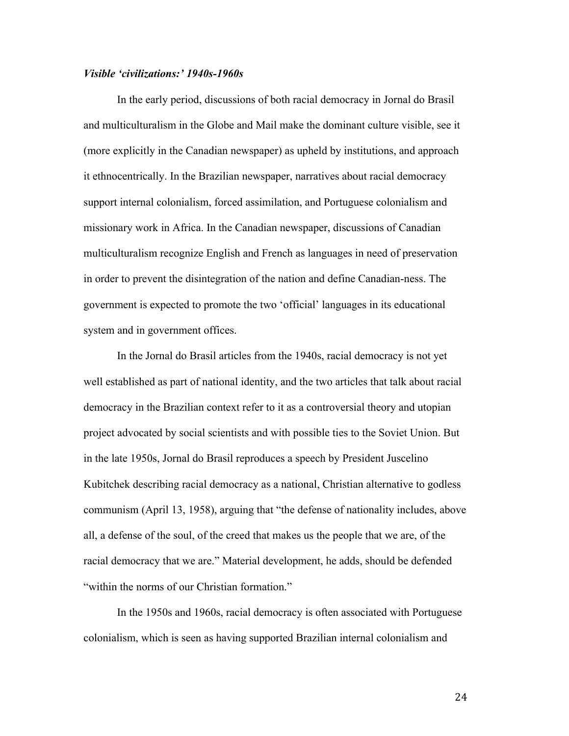#### *Visible 'civilizations:' 1940s-1960s*

In the early period, discussions of both racial democracy in Jornal do Brasil and multiculturalism in the Globe and Mail make the dominant culture visible, see it (more explicitly in the Canadian newspaper) as upheld by institutions, and approach it ethnocentrically. In the Brazilian newspaper, narratives about racial democracy support internal colonialism, forced assimilation, and Portuguese colonialism and missionary work in Africa. In the Canadian newspaper, discussions of Canadian multiculturalism recognize English and French as languages in need of preservation in order to prevent the disintegration of the nation and define Canadian-ness. The government is expected to promote the two 'official' languages in its educational system and in government offices.

In the Jornal do Brasil articles from the 1940s, racial democracy is not yet well established as part of national identity, and the two articles that talk about racial democracy in the Brazilian context refer to it as a controversial theory and utopian project advocated by social scientists and with possible ties to the Soviet Union. But in the late 1950s, Jornal do Brasil reproduces a speech by President Juscelino Kubitchek describing racial democracy as a national, Christian alternative to godless communism (April 13, 1958), arguing that "the defense of nationality includes, above all, a defense of the soul, of the creed that makes us the people that we are, of the racial democracy that we are." Material development, he adds, should be defended "within the norms of our Christian formation."

In the 1950s and 1960s, racial democracy is often associated with Portuguese colonialism, which is seen as having supported Brazilian internal colonialism and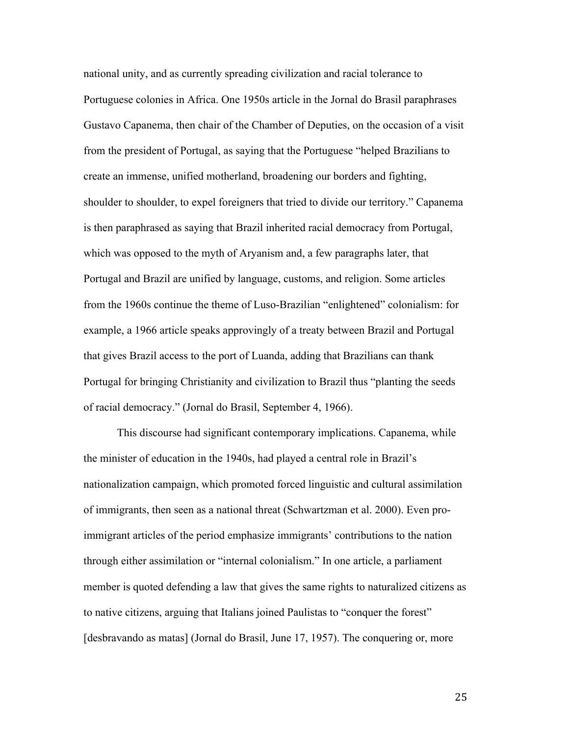national unity, and as currently spreading civilization and racial tolerance to Portuguese colonies in Africa. One 1950s article in the Jornal do Brasil paraphrases Gustavo Capanema, then chair of the Chamber of Deputies, on the occasion of a visit from the president of Portugal, as saying that the Portuguese "helped Brazilians to create an immense, unified motherland, broadening our borders and fighting, shoulder to shoulder, to expel foreigners that tried to divide our territory." Capanema is then paraphrased as saying that Brazil inherited racial democracy from Portugal, which was opposed to the myth of Aryanism and, a few paragraphs later, that Portugal and Brazil are unified by language, customs, and religion. Some articles from the 1960s continue the theme of Luso-Brazilian "enlightened" colonialism: for example, a 1966 article speaks approvingly of a treaty between Brazil and Portugal that gives Brazil access to the port of Luanda, adding that Brazilians can thank Portugal for bringing Christianity and civilization to Brazil thus "planting the seeds of racial democracy." (Jornal do Brasil, September 4, 1966).

This discourse had significant contemporary implications. Capanema, while the minister of education in the 1940s, had played a central role in Brazil's nationalization campaign, which promoted forced linguistic and cultural assimilation of immigrants, then seen as a national threat (Schwartzman et al. 2000). Even proimmigrant articles of the period emphasize immigrants' contributions to the nation through either assimilation or "internal colonialism." In one article, a parliament member is quoted defending a law that gives the same rights to naturalized citizens as to native citizens, arguing that Italians joined Paulistas to "conquer the forest" [desbravando as matas] (Jornal do Brasil, June 17, 1957). The conquering or, more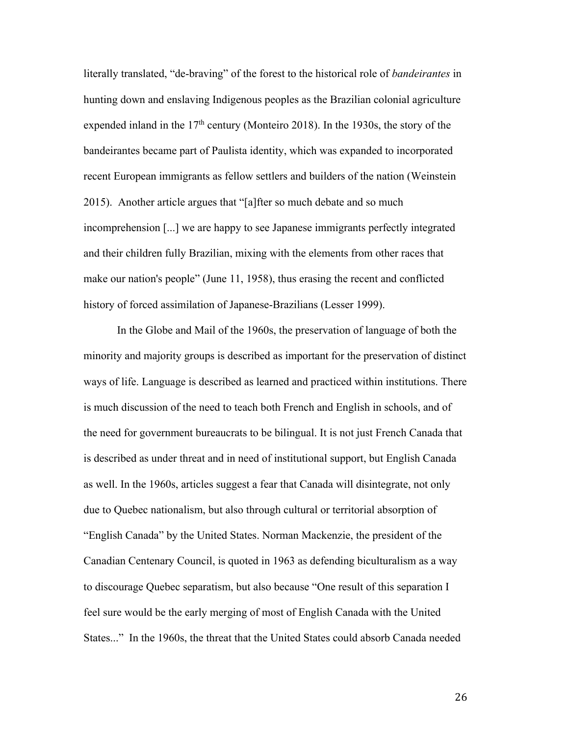literally translated, "de-braving" of the forest to the historical role of *bandeirantes* in hunting down and enslaving Indigenous peoples as the Brazilian colonial agriculture expended inland in the  $17<sup>th</sup>$  century (Monteiro 2018). In the 1930s, the story of the bandeirantes became part of Paulista identity, which was expanded to incorporated recent European immigrants as fellow settlers and builders of the nation (Weinstein 2015). Another article argues that "[a]fter so much debate and so much incomprehension [...] we are happy to see Japanese immigrants perfectly integrated and their children fully Brazilian, mixing with the elements from other races that make our nation's people" (June 11, 1958), thus erasing the recent and conflicted history of forced assimilation of Japanese-Brazilians (Lesser 1999).

In the Globe and Mail of the 1960s, the preservation of language of both the minority and majority groups is described as important for the preservation of distinct ways of life. Language is described as learned and practiced within institutions. There is much discussion of the need to teach both French and English in schools, and of the need for government bureaucrats to be bilingual. It is not just French Canada that is described as under threat and in need of institutional support, but English Canada as well. In the 1960s, articles suggest a fear that Canada will disintegrate, not only due to Quebec nationalism, but also through cultural or territorial absorption of "English Canada" by the United States. Norman Mackenzie, the president of the Canadian Centenary Council, is quoted in 1963 as defending biculturalism as a way to discourage Quebec separatism, but also because "One result of this separation I feel sure would be the early merging of most of English Canada with the United States..." In the 1960s, the threat that the United States could absorb Canada needed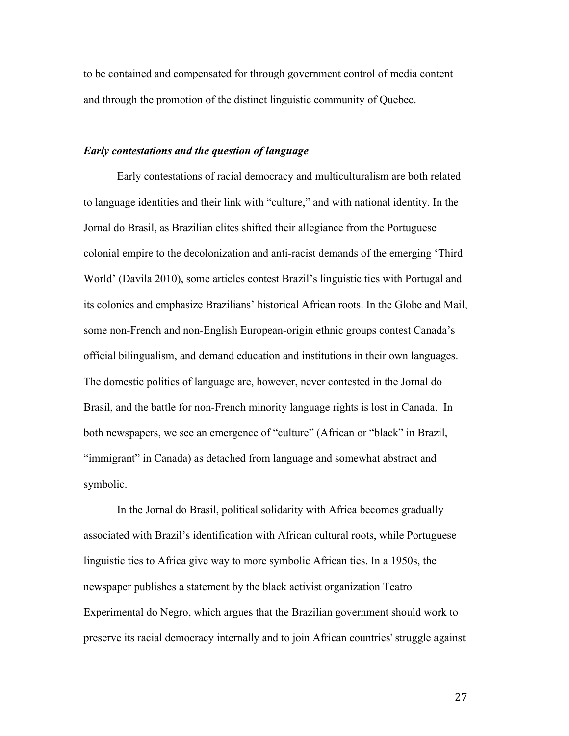to be contained and compensated for through government control of media content and through the promotion of the distinct linguistic community of Quebec.

#### *Early contestations and the question of language*

Early contestations of racial democracy and multiculturalism are both related to language identities and their link with "culture," and with national identity. In the Jornal do Brasil, as Brazilian elites shifted their allegiance from the Portuguese colonial empire to the decolonization and anti-racist demands of the emerging 'Third World' (Davila 2010), some articles contest Brazil's linguistic ties with Portugal and its colonies and emphasize Brazilians' historical African roots. In the Globe and Mail, some non-French and non-English European-origin ethnic groups contest Canada's official bilingualism, and demand education and institutions in their own languages. The domestic politics of language are, however, never contested in the Jornal do Brasil, and the battle for non-French minority language rights is lost in Canada. In both newspapers, we see an emergence of "culture" (African or "black" in Brazil, "immigrant" in Canada) as detached from language and somewhat abstract and symbolic.

In the Jornal do Brasil, political solidarity with Africa becomes gradually associated with Brazil's identification with African cultural roots, while Portuguese linguistic ties to Africa give way to more symbolic African ties. In a 1950s, the newspaper publishes a statement by the black activist organization Teatro Experimental do Negro, which argues that the Brazilian government should work to preserve its racial democracy internally and to join African countries' struggle against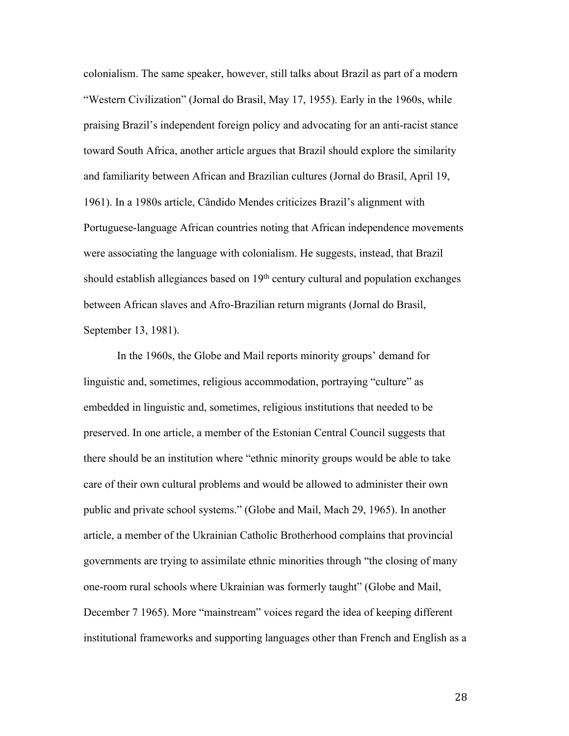colonialism. The same speaker, however, still talks about Brazil as part of a modern "Western Civilization" (Jornal do Brasil, May 17, 1955). Early in the 1960s, while praising Brazil's independent foreign policy and advocating for an anti-racist stance toward South Africa, another article argues that Brazil should explore the similarity and familiarity between African and Brazilian cultures (Jornal do Brasil, April 19, 1961). In a 1980s article, Cândido Mendes criticizes Brazil's alignment with Portuguese-language African countries noting that African independence movements were associating the language with colonialism. He suggests, instead, that Brazil should establish allegiances based on  $19<sup>th</sup>$  century cultural and population exchanges between African slaves and Afro-Brazilian return migrants (Jornal do Brasil, September 13, 1981).

In the 1960s, the Globe and Mail reports minority groups' demand for linguistic and, sometimes, religious accommodation, portraying "culture" as embedded in linguistic and, sometimes, religious institutions that needed to be preserved. In one article, a member of the Estonian Central Council suggests that there should be an institution where "ethnic minority groups would be able to take care of their own cultural problems and would be allowed to administer their own public and private school systems." (Globe and Mail, Mach 29, 1965). In another article, a member of the Ukrainian Catholic Brotherhood complains that provincial governments are trying to assimilate ethnic minorities through "the closing of many one-room rural schools where Ukrainian was formerly taught" (Globe and Mail, December 7 1965). More "mainstream" voices regard the idea of keeping different institutional frameworks and supporting languages other than French and English as a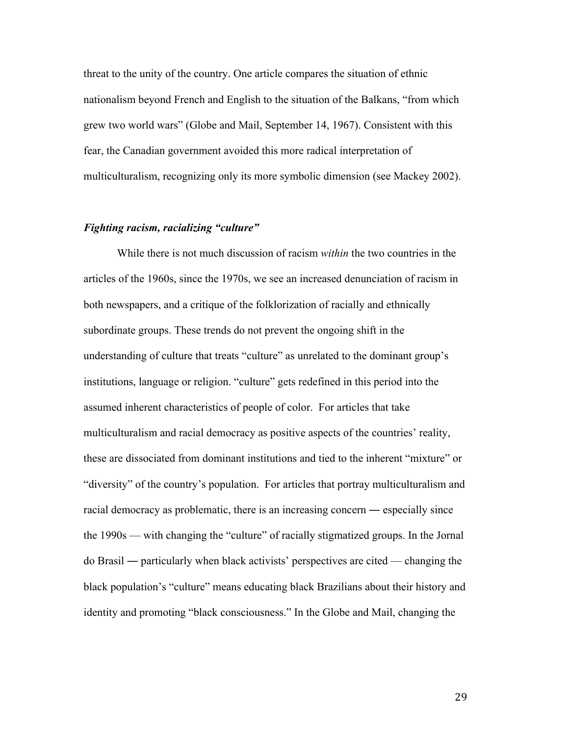threat to the unity of the country. One article compares the situation of ethnic nationalism beyond French and English to the situation of the Balkans, "from which grew two world wars" (Globe and Mail, September 14, 1967). Consistent with this fear, the Canadian government avoided this more radical interpretation of multiculturalism, recognizing only its more symbolic dimension (see Mackey 2002).

#### *Fighting racism, racializing "culture"*

While there is not much discussion of racism *within* the two countries in the articles of the 1960s, since the 1970s, we see an increased denunciation of racism in both newspapers, and a critique of the folklorization of racially and ethnically subordinate groups. These trends do not prevent the ongoing shift in the understanding of culture that treats "culture" as unrelated to the dominant group's institutions, language or religion. "culture" gets redefined in this period into the assumed inherent characteristics of people of color. For articles that take multiculturalism and racial democracy as positive aspects of the countries' reality, these are dissociated from dominant institutions and tied to the inherent "mixture" or "diversity" of the country's population. For articles that portray multiculturalism and racial democracy as problematic, there is an increasing concern ― especially since the 1990s — with changing the "culture" of racially stigmatized groups. In the Jornal do Brasil ― particularly when black activists' perspectives are cited — changing the black population's "culture" means educating black Brazilians about their history and identity and promoting "black consciousness." In the Globe and Mail, changing the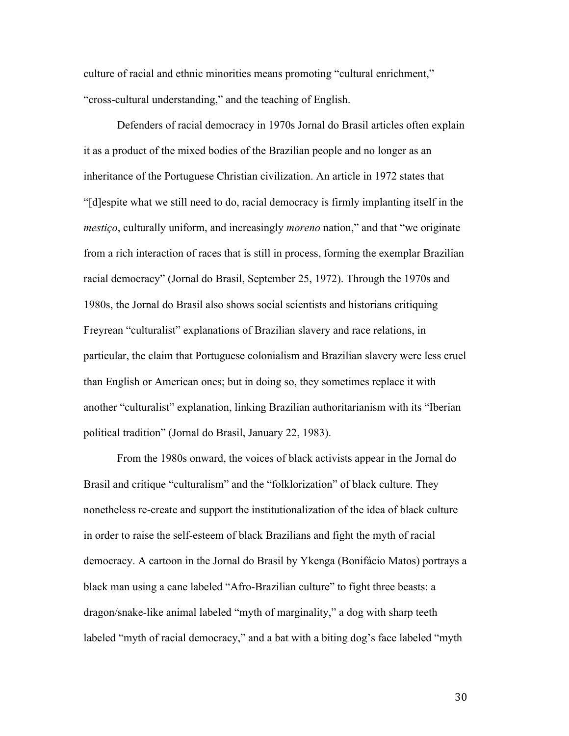culture of racial and ethnic minorities means promoting "cultural enrichment," "cross-cultural understanding," and the teaching of English.

Defenders of racial democracy in 1970s Jornal do Brasil articles often explain it as a product of the mixed bodies of the Brazilian people and no longer as an inheritance of the Portuguese Christian civilization. An article in 1972 states that "[d]espite what we still need to do, racial democracy is firmly implanting itself in the *mestiço*, culturally uniform, and increasingly *moreno* nation," and that "we originate from a rich interaction of races that is still in process, forming the exemplar Brazilian racial democracy" (Jornal do Brasil, September 25, 1972). Through the 1970s and 1980s, the Jornal do Brasil also shows social scientists and historians critiquing Freyrean "culturalist" explanations of Brazilian slavery and race relations, in particular, the claim that Portuguese colonialism and Brazilian slavery were less cruel than English or American ones; but in doing so, they sometimes replace it with another "culturalist" explanation, linking Brazilian authoritarianism with its "Iberian political tradition" (Jornal do Brasil, January 22, 1983).

From the 1980s onward, the voices of black activists appear in the Jornal do Brasil and critique "culturalism" and the "folklorization" of black culture. They nonetheless re-create and support the institutionalization of the idea of black culture in order to raise the self-esteem of black Brazilians and fight the myth of racial democracy. A cartoon in the Jornal do Brasil by Ykenga (Bonifácio Matos) portrays a black man using a cane labeled "Afro-Brazilian culture" to fight three beasts: a dragon/snake-like animal labeled "myth of marginality," a dog with sharp teeth labeled "myth of racial democracy," and a bat with a biting dog's face labeled "myth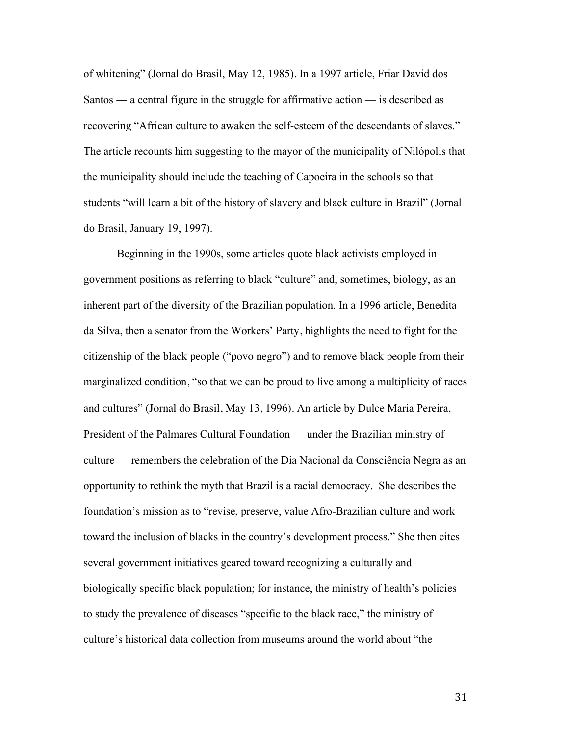of whitening" (Jornal do Brasil, May 12, 1985). In a 1997 article, Friar David dos Santos — a central figure in the struggle for affirmative action — is described as recovering "African culture to awaken the self-esteem of the descendants of slaves." The article recounts him suggesting to the mayor of the municipality of Nilópolis that the municipality should include the teaching of Capoeira in the schools so that students "will learn a bit of the history of slavery and black culture in Brazil" (Jornal do Brasil, January 19, 1997).

Beginning in the 1990s, some articles quote black activists employed in government positions as referring to black "culture" and, sometimes, biology, as an inherent part of the diversity of the Brazilian population. In a 1996 article, Benedita da Silva, then a senator from the Workers' Party, highlights the need to fight for the citizenship of the black people ("povo negro") and to remove black people from their marginalized condition, "so that we can be proud to live among a multiplicity of races and cultures" (Jornal do Brasil, May 13, 1996). An article by Dulce Maria Pereira, President of the Palmares Cultural Foundation — under the Brazilian ministry of culture — remembers the celebration of the Dia Nacional da Consciência Negra as an opportunity to rethink the myth that Brazil is a racial democracy. She describes the foundation's mission as to "revise, preserve, value Afro-Brazilian culture and work toward the inclusion of blacks in the country's development process." She then cites several government initiatives geared toward recognizing a culturally and biologically specific black population; for instance, the ministry of health's policies to study the prevalence of diseases "specific to the black race," the ministry of culture's historical data collection from museums around the world about "the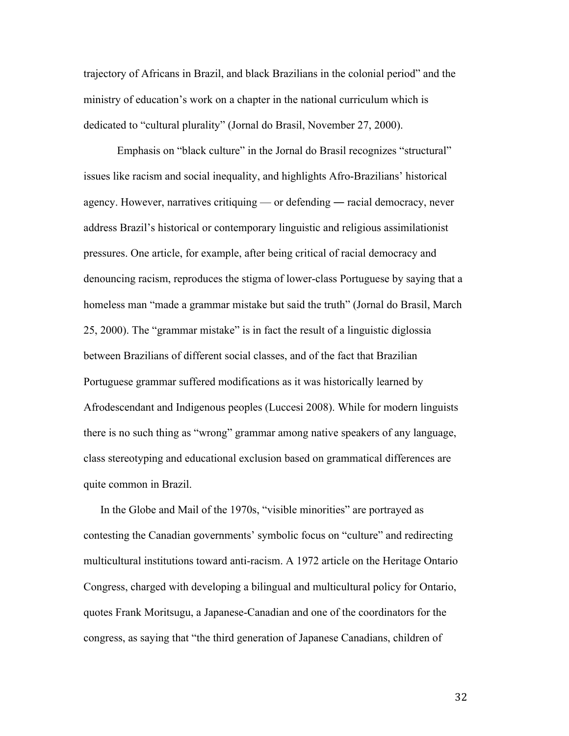trajectory of Africans in Brazil, and black Brazilians in the colonial period" and the ministry of education's work on a chapter in the national curriculum which is dedicated to "cultural plurality" (Jornal do Brasil, November 27, 2000).

Emphasis on "black culture" in the Jornal do Brasil recognizes "structural" issues like racism and social inequality, and highlights Afro-Brazilians' historical agency. However, narratives critiquing — or defending ― racial democracy, never address Brazil's historical or contemporary linguistic and religious assimilationist pressures. One article, for example, after being critical of racial democracy and denouncing racism, reproduces the stigma of lower-class Portuguese by saying that a homeless man "made a grammar mistake but said the truth" (Jornal do Brasil, March 25, 2000). The "grammar mistake" is in fact the result of a linguistic diglossia between Brazilians of different social classes, and of the fact that Brazilian Portuguese grammar suffered modifications as it was historically learned by Afrodescendant and Indigenous peoples (Luccesi 2008). While for modern linguists there is no such thing as "wrong" grammar among native speakers of any language, class stereotyping and educational exclusion based on grammatical differences are quite common in Brazil.

In the Globe and Mail of the 1970s, "visible minorities" are portrayed as contesting the Canadian governments' symbolic focus on "culture" and redirecting multicultural institutions toward anti-racism. A 1972 article on the Heritage Ontario Congress, charged with developing a bilingual and multicultural policy for Ontario, quotes Frank Moritsugu, a Japanese-Canadian and one of the coordinators for the congress, as saying that "the third generation of Japanese Canadians, children of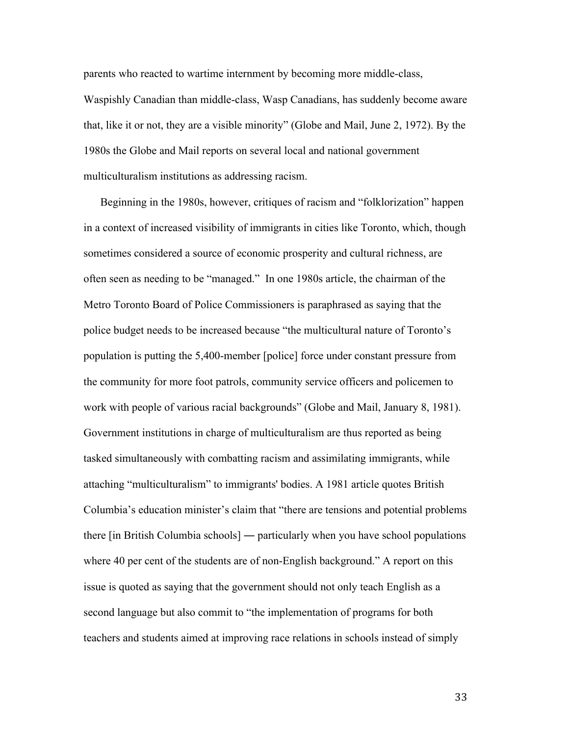parents who reacted to wartime internment by becoming more middle-class, Waspishly Canadian than middle-class, Wasp Canadians, has suddenly become aware that, like it or not, they are a visible minority" (Globe and Mail, June 2, 1972). By the 1980s the Globe and Mail reports on several local and national government multiculturalism institutions as addressing racism.

Beginning in the 1980s, however, critiques of racism and "folklorization" happen in a context of increased visibility of immigrants in cities like Toronto, which, though sometimes considered a source of economic prosperity and cultural richness, are often seen as needing to be "managed." In one 1980s article, the chairman of the Metro Toronto Board of Police Commissioners is paraphrased as saying that the police budget needs to be increased because "the multicultural nature of Toronto's population is putting the 5,400-member [police] force under constant pressure from the community for more foot patrols, community service officers and policemen to work with people of various racial backgrounds" (Globe and Mail, January 8, 1981). Government institutions in charge of multiculturalism are thus reported as being tasked simultaneously with combatting racism and assimilating immigrants, while attaching "multiculturalism" to immigrants' bodies. A 1981 article quotes British Columbia's education minister's claim that "there are tensions and potential problems there [in British Columbia schools] ― particularly when you have school populations where 40 per cent of the students are of non-English background." A report on this issue is quoted as saying that the government should not only teach English as a second language but also commit to "the implementation of programs for both teachers and students aimed at improving race relations in schools instead of simply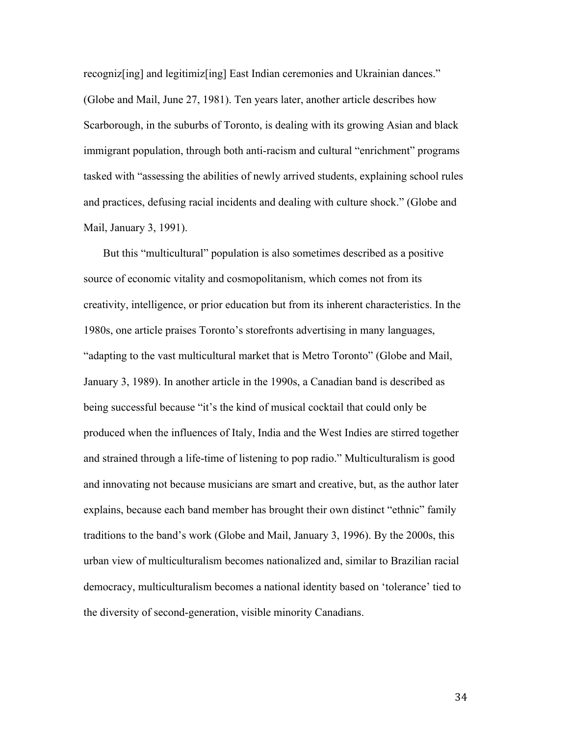recogniz[ing] and legitimiz[ing] East Indian ceremonies and Ukrainian dances." (Globe and Mail, June 27, 1981). Ten years later, another article describes how Scarborough, in the suburbs of Toronto, is dealing with its growing Asian and black immigrant population, through both anti-racism and cultural "enrichment" programs tasked with "assessing the abilities of newly arrived students, explaining school rules and practices, defusing racial incidents and dealing with culture shock." (Globe and Mail, January 3, 1991).

But this "multicultural" population is also sometimes described as a positive source of economic vitality and cosmopolitanism, which comes not from its creativity, intelligence, or prior education but from its inherent characteristics. In the 1980s, one article praises Toronto's storefronts advertising in many languages, "adapting to the vast multicultural market that is Metro Toronto" (Globe and Mail, January 3, 1989). In another article in the 1990s, a Canadian band is described as being successful because "it's the kind of musical cocktail that could only be produced when the influences of Italy, India and the West Indies are stirred together and strained through a life-time of listening to pop radio." Multiculturalism is good and innovating not because musicians are smart and creative, but, as the author later explains, because each band member has brought their own distinct "ethnic" family traditions to the band's work (Globe and Mail, January 3, 1996). By the 2000s, this urban view of multiculturalism becomes nationalized and, similar to Brazilian racial democracy, multiculturalism becomes a national identity based on 'tolerance' tied to the diversity of second-generation, visible minority Canadians.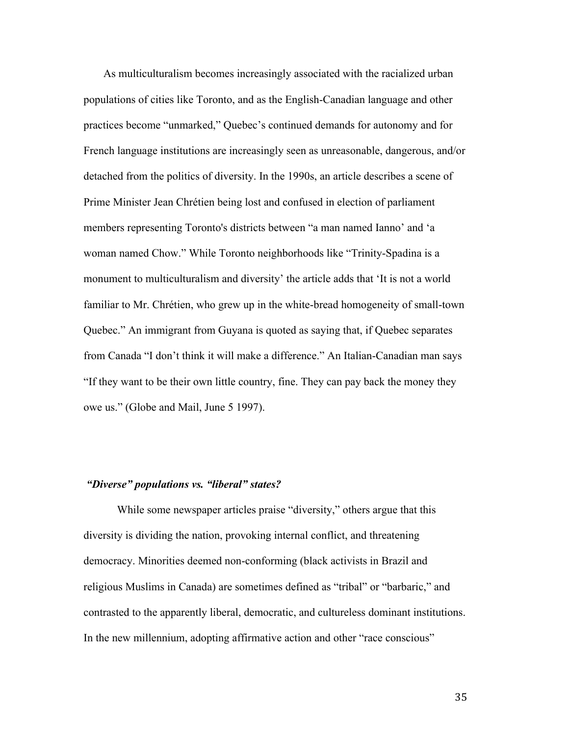As multiculturalism becomes increasingly associated with the racialized urban populations of cities like Toronto, and as the English-Canadian language and other practices become "unmarked," Quebec's continued demands for autonomy and for French language institutions are increasingly seen as unreasonable, dangerous, and/or detached from the politics of diversity. In the 1990s, an article describes a scene of Prime Minister Jean Chrétien being lost and confused in election of parliament members representing Toronto's districts between "a man named Ianno' and 'a woman named Chow." While Toronto neighborhoods like "Trinity-Spadina is a monument to multiculturalism and diversity' the article adds that 'It is not a world familiar to Mr. Chrétien, who grew up in the white-bread homogeneity of small-town Quebec." An immigrant from Guyana is quoted as saying that, if Quebec separates from Canada "I don't think it will make a difference." An Italian-Canadian man says "If they want to be their own little country, fine. They can pay back the money they owe us." (Globe and Mail, June 5 1997).

#### *"Diverse" populations vs. "liberal" states?*

While some newspaper articles praise "diversity," others argue that this diversity is dividing the nation, provoking internal conflict, and threatening democracy. Minorities deemed non-conforming (black activists in Brazil and religious Muslims in Canada) are sometimes defined as "tribal" or "barbaric," and contrasted to the apparently liberal, democratic, and cultureless dominant institutions. In the new millennium, adopting affirmative action and other "race conscious"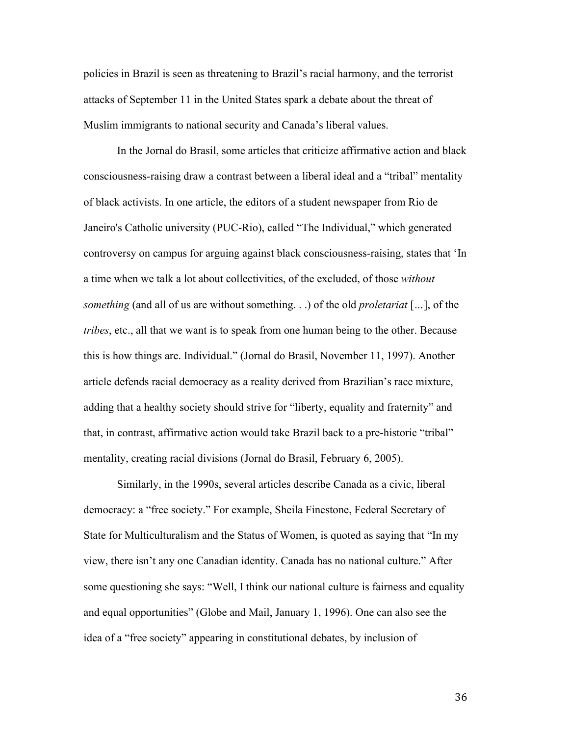policies in Brazil is seen as threatening to Brazil's racial harmony, and the terrorist attacks of September 11 in the United States spark a debate about the threat of Muslim immigrants to national security and Canada's liberal values.

In the Jornal do Brasil, some articles that criticize affirmative action and black consciousness-raising draw a contrast between a liberal ideal and a "tribal" mentality of black activists. In one article, the editors of a student newspaper from Rio de Janeiro's Catholic university (PUC-Rio), called "The Individual," which generated controversy on campus for arguing against black consciousness-raising, states that 'In a time when we talk a lot about collectivities, of the excluded, of those *without something* (and all of us are without something. . .) of the old *proletariat* [*…*], of the *tribes*, etc., all that we want is to speak from one human being to the other. Because this is how things are. Individual." (Jornal do Brasil, November 11, 1997). Another article defends racial democracy as a reality derived from Brazilian's race mixture, adding that a healthy society should strive for "liberty, equality and fraternity" and that, in contrast, affirmative action would take Brazil back to a pre-historic "tribal" mentality, creating racial divisions (Jornal do Brasil, February 6, 2005).

Similarly, in the 1990s, several articles describe Canada as a civic, liberal democracy: a "free society." For example, Sheila Finestone, Federal Secretary of State for Multiculturalism and the Status of Women, is quoted as saying that "In my view, there isn't any one Canadian identity. Canada has no national culture." After some questioning she says: "Well, I think our national culture is fairness and equality and equal opportunities" (Globe and Mail, January 1, 1996). One can also see the idea of a "free society" appearing in constitutional debates, by inclusion of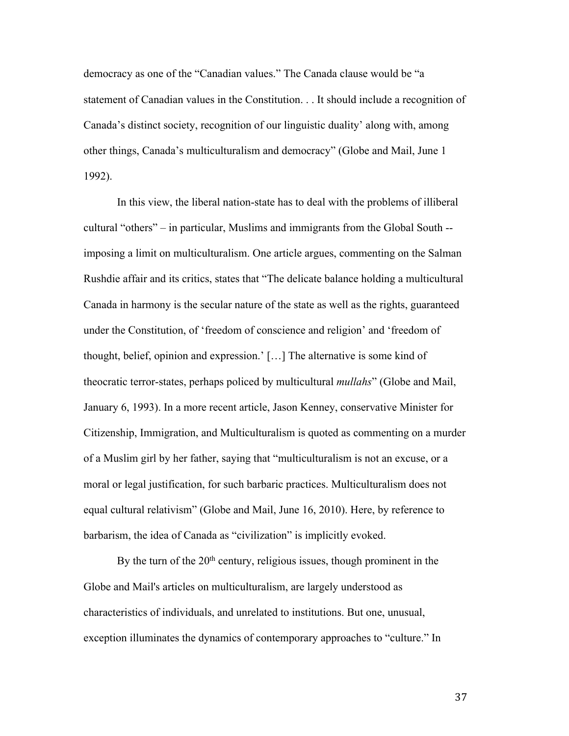democracy as one of the "Canadian values." The Canada clause would be "a statement of Canadian values in the Constitution. . . It should include a recognition of Canada's distinct society, recognition of our linguistic duality' along with, among other things, Canada's multiculturalism and democracy" (Globe and Mail, June 1 1992).

In this view, the liberal nation-state has to deal with the problems of illiberal cultural "others" – in particular, Muslims and immigrants from the Global South - imposing a limit on multiculturalism. One article argues, commenting on the Salman Rushdie affair and its critics, states that "The delicate balance holding a multicultural Canada in harmony is the secular nature of the state as well as the rights, guaranteed under the Constitution, of 'freedom of conscience and religion' and 'freedom of thought, belief, opinion and expression.' […] The alternative is some kind of theocratic terror-states, perhaps policed by multicultural *mullahs*" (Globe and Mail, January 6, 1993). In a more recent article, Jason Kenney, conservative Minister for Citizenship, Immigration, and Multiculturalism is quoted as commenting on a murder of a Muslim girl by her father, saying that "multiculturalism is not an excuse, or a moral or legal justification, for such barbaric practices. Multiculturalism does not equal cultural relativism" (Globe and Mail, June 16, 2010). Here, by reference to barbarism, the idea of Canada as "civilization" is implicitly evoked.

By the turn of the  $20<sup>th</sup>$  century, religious issues, though prominent in the Globe and Mail's articles on multiculturalism, are largely understood as characteristics of individuals, and unrelated to institutions. But one, unusual, exception illuminates the dynamics of contemporary approaches to "culture." In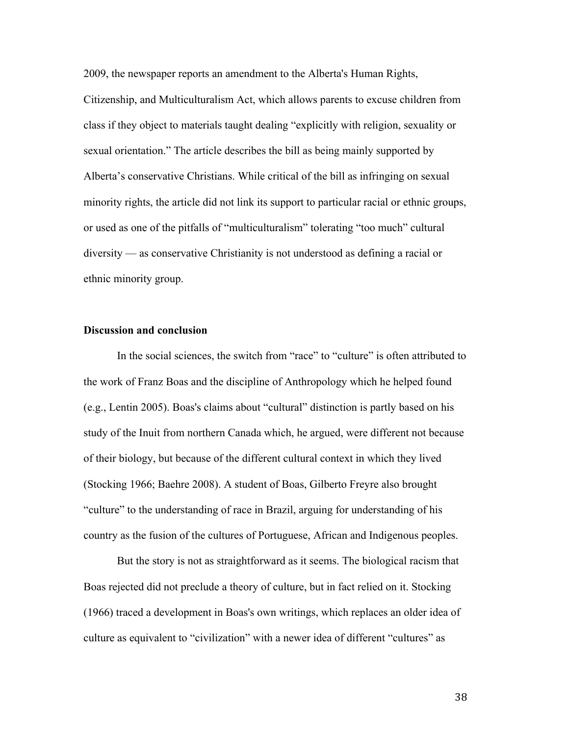2009, the newspaper reports an amendment to the Alberta's Human Rights,

Citizenship, and Multiculturalism Act, which allows parents to excuse children from class if they object to materials taught dealing "explicitly with religion, sexuality or sexual orientation." The article describes the bill as being mainly supported by Alberta's conservative Christians. While critical of the bill as infringing on sexual minority rights, the article did not link its support to particular racial or ethnic groups, or used as one of the pitfalls of "multiculturalism" tolerating "too much" cultural diversity — as conservative Christianity is not understood as defining a racial or ethnic minority group.

#### **Discussion and conclusion**

In the social sciences, the switch from "race" to "culture" is often attributed to the work of Franz Boas and the discipline of Anthropology which he helped found (e.g., Lentin 2005). Boas's claims about "cultural" distinction is partly based on his study of the Inuit from northern Canada which, he argued, were different not because of their biology, but because of the different cultural context in which they lived (Stocking 1966; Baehre 2008). A student of Boas, Gilberto Freyre also brought "culture" to the understanding of race in Brazil, arguing for understanding of his country as the fusion of the cultures of Portuguese, African and Indigenous peoples.

But the story is not as straightforward as it seems. The biological racism that Boas rejected did not preclude a theory of culture, but in fact relied on it. Stocking (1966) traced a development in Boas's own writings, which replaces an older idea of culture as equivalent to "civilization" with a newer idea of different "cultures" as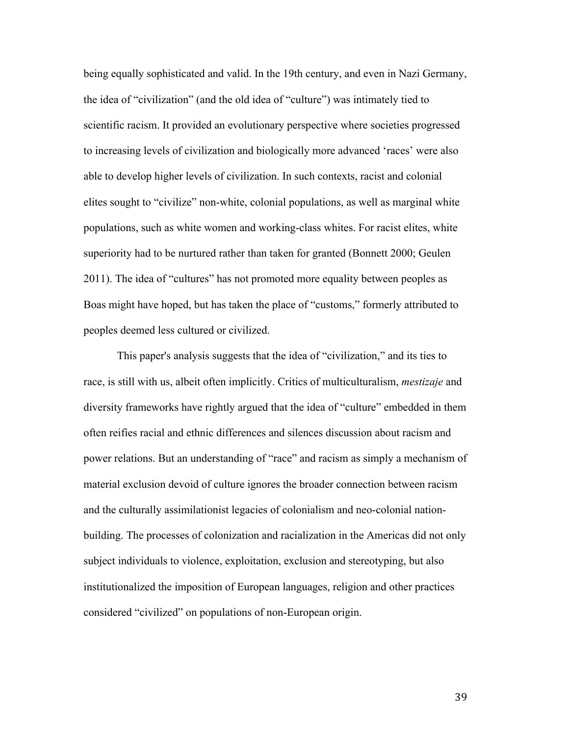being equally sophisticated and valid. In the 19th century, and even in Nazi Germany, the idea of "civilization" (and the old idea of "culture") was intimately tied to scientific racism. It provided an evolutionary perspective where societies progressed to increasing levels of civilization and biologically more advanced 'races' were also able to develop higher levels of civilization. In such contexts, racist and colonial elites sought to "civilize" non-white, colonial populations, as well as marginal white populations, such as white women and working-class whites. For racist elites, white superiority had to be nurtured rather than taken for granted (Bonnett 2000; Geulen 2011). The idea of "cultures" has not promoted more equality between peoples as Boas might have hoped, but has taken the place of "customs," formerly attributed to peoples deemed less cultured or civilized.

This paper's analysis suggests that the idea of "civilization," and its ties to race, is still with us, albeit often implicitly. Critics of multiculturalism, *mestizaje* and diversity frameworks have rightly argued that the idea of "culture" embedded in them often reifies racial and ethnic differences and silences discussion about racism and power relations. But an understanding of "race" and racism as simply a mechanism of material exclusion devoid of culture ignores the broader connection between racism and the culturally assimilationist legacies of colonialism and neo-colonial nationbuilding. The processes of colonization and racialization in the Americas did not only subject individuals to violence, exploitation, exclusion and stereotyping, but also institutionalized the imposition of European languages, religion and other practices considered "civilized" on populations of non-European origin.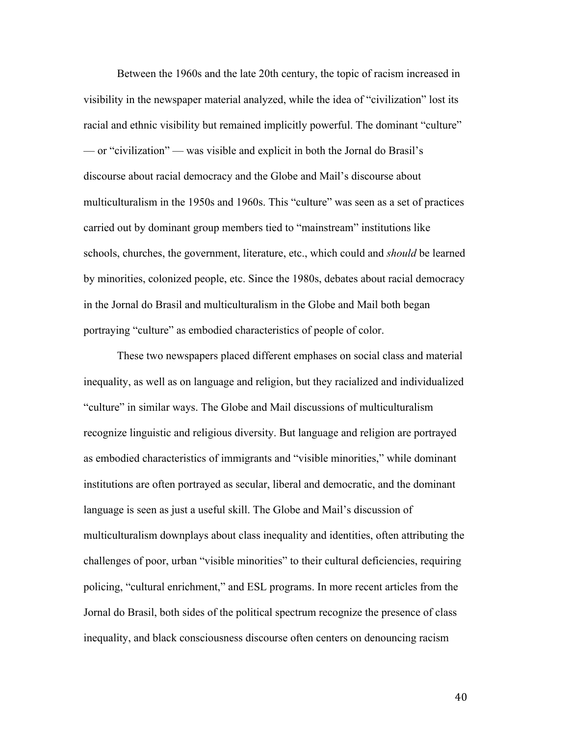Between the 1960s and the late 20th century, the topic of racism increased in visibility in the newspaper material analyzed, while the idea of "civilization" lost its racial and ethnic visibility but remained implicitly powerful. The dominant "culture" — or "civilization" — was visible and explicit in both the Jornal do Brasil's discourse about racial democracy and the Globe and Mail's discourse about multiculturalism in the 1950s and 1960s. This "culture" was seen as a set of practices carried out by dominant group members tied to "mainstream" institutions like schools, churches, the government, literature, etc., which could and *should* be learned by minorities, colonized people, etc. Since the 1980s, debates about racial democracy in the Jornal do Brasil and multiculturalism in the Globe and Mail both began portraying "culture" as embodied characteristics of people of color.

These two newspapers placed different emphases on social class and material inequality, as well as on language and religion, but they racialized and individualized "culture" in similar ways. The Globe and Mail discussions of multiculturalism recognize linguistic and religious diversity. But language and religion are portrayed as embodied characteristics of immigrants and "visible minorities," while dominant institutions are often portrayed as secular, liberal and democratic, and the dominant language is seen as just a useful skill. The Globe and Mail's discussion of multiculturalism downplays about class inequality and identities, often attributing the challenges of poor, urban "visible minorities" to their cultural deficiencies, requiring policing, "cultural enrichment," and ESL programs. In more recent articles from the Jornal do Brasil, both sides of the political spectrum recognize the presence of class inequality, and black consciousness discourse often centers on denouncing racism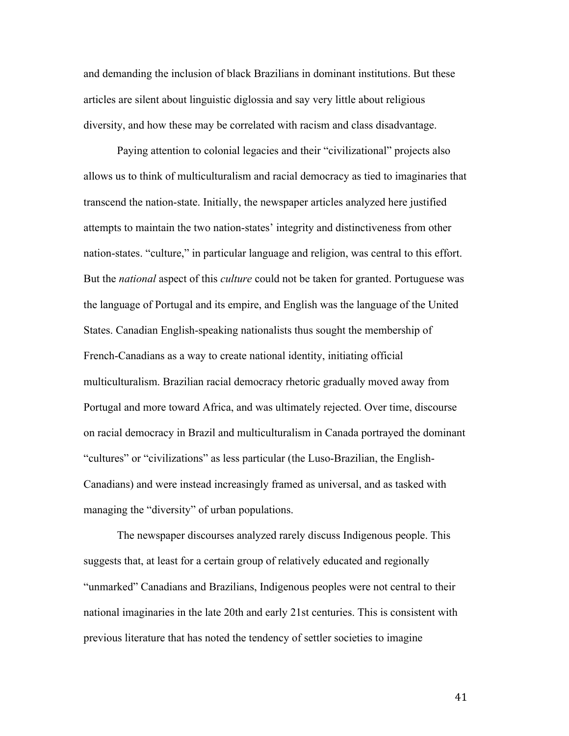and demanding the inclusion of black Brazilians in dominant institutions. But these articles are silent about linguistic diglossia and say very little about religious diversity, and how these may be correlated with racism and class disadvantage.

Paying attention to colonial legacies and their "civilizational" projects also allows us to think of multiculturalism and racial democracy as tied to imaginaries that transcend the nation-state. Initially, the newspaper articles analyzed here justified attempts to maintain the two nation-states' integrity and distinctiveness from other nation-states. "culture," in particular language and religion, was central to this effort. But the *national* aspect of this *culture* could not be taken for granted. Portuguese was the language of Portugal and its empire, and English was the language of the United States. Canadian English-speaking nationalists thus sought the membership of French-Canadians as a way to create national identity, initiating official multiculturalism. Brazilian racial democracy rhetoric gradually moved away from Portugal and more toward Africa, and was ultimately rejected. Over time, discourse on racial democracy in Brazil and multiculturalism in Canada portrayed the dominant "cultures" or "civilizations" as less particular (the Luso-Brazilian, the English-Canadians) and were instead increasingly framed as universal, and as tasked with managing the "diversity" of urban populations.

The newspaper discourses analyzed rarely discuss Indigenous people. This suggests that, at least for a certain group of relatively educated and regionally "unmarked" Canadians and Brazilians, Indigenous peoples were not central to their national imaginaries in the late 20th and early 21st centuries. This is consistent with previous literature that has noted the tendency of settler societies to imagine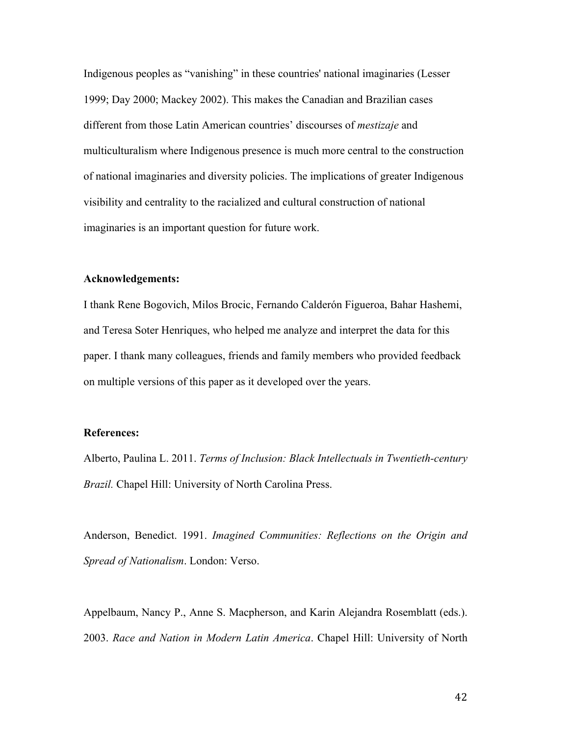Indigenous peoples as "vanishing" in these countries' national imaginaries (Lesser 1999; Day 2000; Mackey 2002). This makes the Canadian and Brazilian cases different from those Latin American countries' discourses of *mestizaje* and multiculturalism where Indigenous presence is much more central to the construction of national imaginaries and diversity policies. The implications of greater Indigenous visibility and centrality to the racialized and cultural construction of national imaginaries is an important question for future work.

#### **Acknowledgements:**

I thank Rene Bogovich, Milos Brocic, Fernando Calderón Figueroa, Bahar Hashemi, and Teresa Soter Henriques, who helped me analyze and interpret the data for this paper. I thank many colleagues, friends and family members who provided feedback on multiple versions of this paper as it developed over the years.

#### **References:**

Alberto, Paulina L. 2011. *Terms of Inclusion: Black Intellectuals in Twentieth-century Brazil.* Chapel Hill: University of North Carolina Press.

Anderson, Benedict. 1991. *Imagined Communities: Reflections on the Origin and Spread of Nationalism*. London: Verso.

Appelbaum, Nancy P., Anne S. Macpherson, and Karin Alejandra Rosemblatt (eds.). 2003. *Race and Nation in Modern Latin America*. Chapel Hill: University of North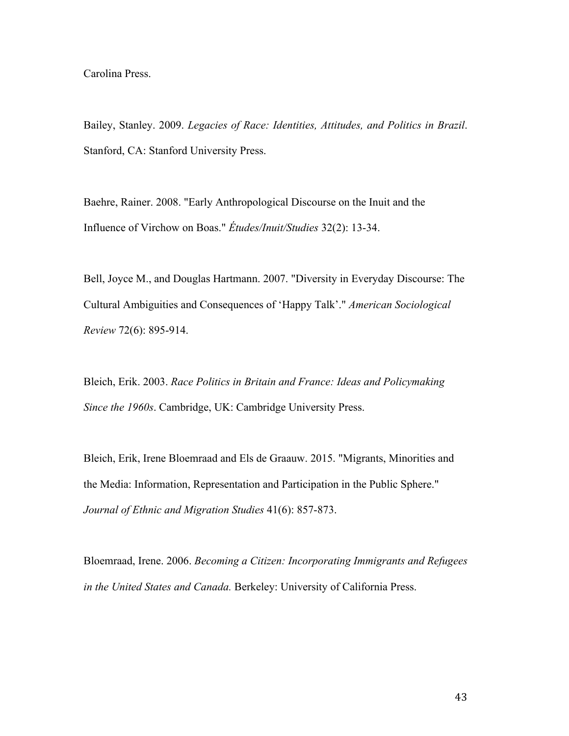#### Carolina Press.

Bailey, Stanley. 2009. *Legacies of Race: Identities, Attitudes, and Politics in Brazil*. Stanford, CA: Stanford University Press.

Baehre, Rainer. 2008. "Early Anthropological Discourse on the Inuit and the Influence of Virchow on Boas." *Études/Inuit/Studies* 32(2): 13-34.

Bell, Joyce M., and Douglas Hartmann. 2007. "Diversity in Everyday Discourse: The Cultural Ambiguities and Consequences of 'Happy Talk'." *American Sociological Review* 72(6): 895-914.

Bleich, Erik. 2003. *Race Politics in Britain and France: Ideas and Policymaking Since the 1960s*. Cambridge, UK: Cambridge University Press.

Bleich, Erik, Irene Bloemraad and Els de Graauw. 2015. "Migrants, Minorities and the Media: Information, Representation and Participation in the Public Sphere." *Journal of Ethnic and Migration Studies* 41(6): 857-873.

Bloemraad, Irene. 2006. *Becoming a Citizen: Incorporating Immigrants and Refugees in the United States and Canada.* Berkeley: University of California Press.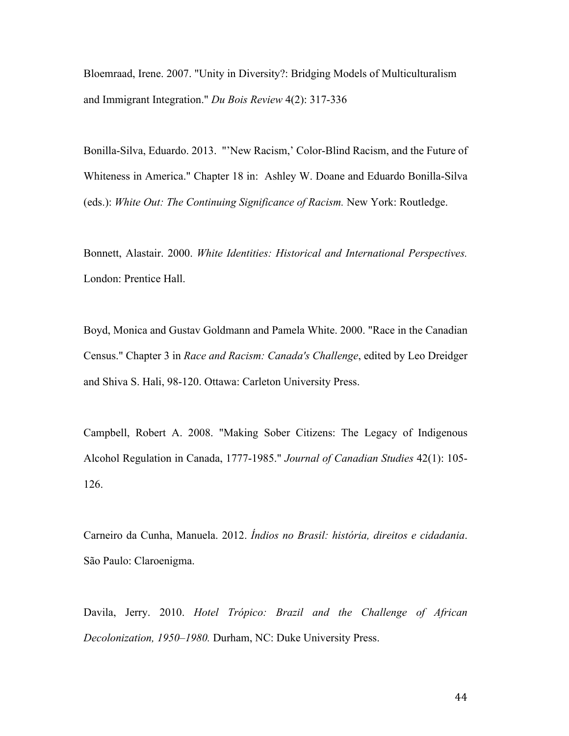Bloemraad, Irene. 2007. "Unity in Diversity?: Bridging Models of Multiculturalism and Immigrant Integration." *Du Bois Review* 4(2): 317-336

Bonilla-Silva, Eduardo. 2013. "'New Racism,' Color-Blind Racism, and the Future of Whiteness in America." Chapter 18 in: Ashley W. Doane and Eduardo Bonilla-Silva (eds.): *White Out: The Continuing Significance of Racism.* New York: Routledge.

Bonnett, Alastair. 2000. *White Identities: Historical and International Perspectives.* London: Prentice Hall.

Boyd, Monica and Gustav Goldmann and Pamela White. 2000. "Race in the Canadian Census." Chapter 3 in *Race and Racism: Canada's Challenge*, edited by Leo Dreidger and Shiva S. Hali, 98-120. Ottawa: Carleton University Press.

Campbell, Robert A. 2008. "Making Sober Citizens: The Legacy of Indigenous Alcohol Regulation in Canada, 1777-1985." *Journal of Canadian Studies* 42(1): 105- 126.

Carneiro da Cunha, Manuela. 2012. *Índios no Brasil: história, direitos e cidadania*. São Paulo: Claroenigma.

Davila, Jerry. 2010. *Hotel Trópico: Brazil and the Challenge of African Decolonization, 1950–1980.* Durham, NC: Duke University Press.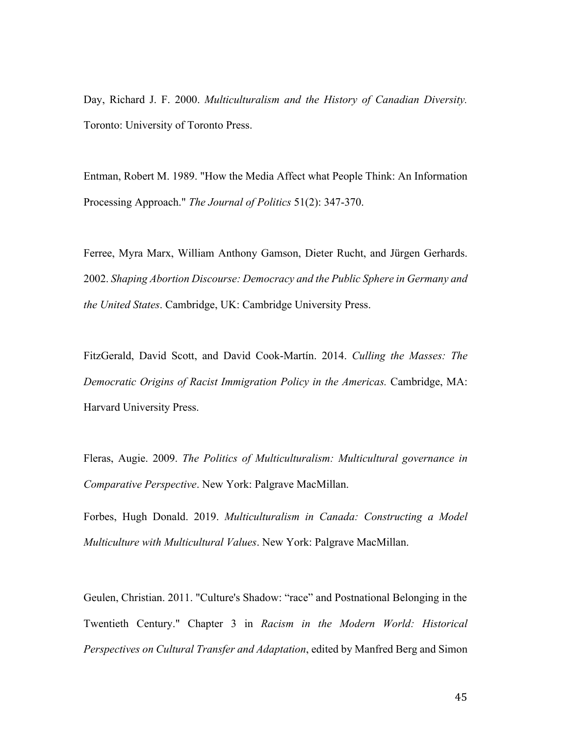Day, Richard J. F. 2000. *Multiculturalism and the History of Canadian Diversity.* Toronto: University of Toronto Press.

Entman, Robert M. 1989. "How the Media Affect what People Think: An Information Processing Approach." *The Journal of Politics* 51(2): 347-370.

Ferree, Myra Marx, William Anthony Gamson, Dieter Rucht, and Jürgen Gerhards. 2002. *Shaping Abortion Discourse: Democracy and the Public Sphere in Germany and the United States*. Cambridge, UK: Cambridge University Press.

FitzGerald, David Scott, and David Cook-Martín. 2014. *Culling the Masses: The Democratic Origins of Racist Immigration Policy in the Americas.* Cambridge, MA: Harvard University Press.

Fleras, Augie. 2009. *The Politics of Multiculturalism: Multicultural governance in Comparative Perspective*. New York: Palgrave MacMillan.

Forbes, Hugh Donald. 2019. *Multiculturalism in Canada: Constructing a Model Multiculture with Multicultural Values*. New York: Palgrave MacMillan.

Geulen, Christian. 2011. "Culture's Shadow: "race" and Postnational Belonging in the Twentieth Century." Chapter 3 in *Racism in the Modern World: Historical Perspectives on Cultural Transfer and Adaptation*, edited by Manfred Berg and Simon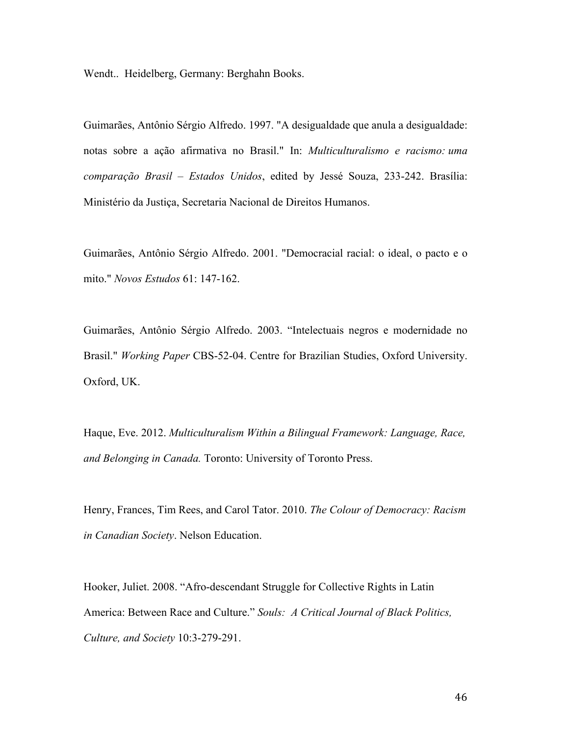Wendt.. Heidelberg, Germany: Berghahn Books.

Guimarães, Antônio Sérgio Alfredo. 1997. "A desigualdade que anula a desigualdade: notas sobre a ação afirmativa no Brasil." In: *Multiculturalismo e racismo: uma comparação Brasil – Estados Unidos*, edited by Jessé Souza, 233-242. Brasília: Ministério da Justiça, Secretaria Nacional de Direitos Humanos.

Guimarães, Antônio Sérgio Alfredo. 2001. "Democracial racial: o ideal, o pacto e o mito." *Novos Estudos* 61: 147-162.

Guimarães, Antônio Sérgio Alfredo. 2003. "Intelectuais negros e modernidade no Brasil." *Working Paper* CBS-52-04. Centre for Brazilian Studies, Oxford University. Oxford, UK.

Haque, Eve. 2012. *Multiculturalism Within a Bilingual Framework: Language, Race, and Belonging in Canada.* Toronto: University of Toronto Press.

Henry, Frances, Tim Rees, and Carol Tator. 2010. *The Colour of Democracy: Racism in Canadian Society*. Nelson Education.

Hooker, Juliet. 2008. "Afro-descendant Struggle for Collective Rights in Latin America: Between Race and Culture." *Souls: A Critical Journal of Black Politics, Culture, and Society* 10:3-279-291.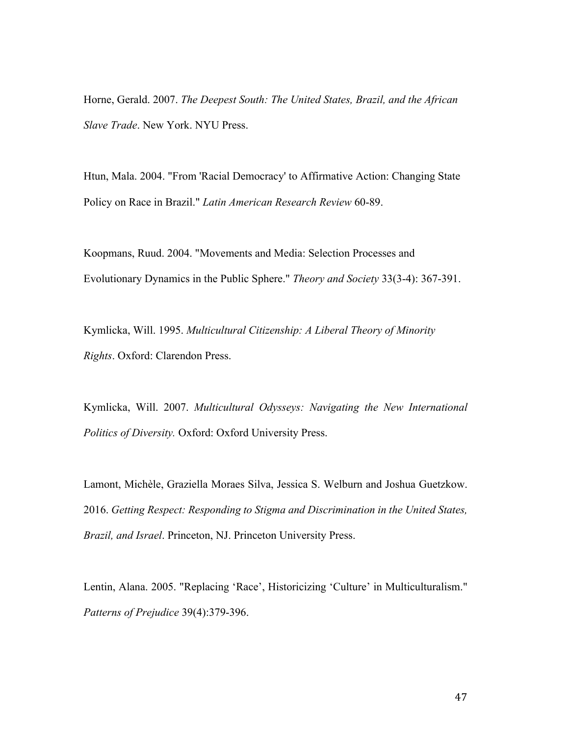Horne, Gerald. 2007. *The Deepest South: The United States, Brazil, and the African Slave Trade*. New York. NYU Press.

Htun, Mala. 2004. "From 'Racial Democracy' to Affirmative Action: Changing State Policy on Race in Brazil." *Latin American Research Review* 60-89.

Koopmans, Ruud. 2004. "Movements and Media: Selection Processes and Evolutionary Dynamics in the Public Sphere." *Theory and Society* 33(3-4): 367-391.

Kymlicka, Will. 1995. *Multicultural Citizenship: A Liberal Theory of Minority Rights*. Oxford: Clarendon Press.

Kymlicka, Will. 2007. *Multicultural Odysseys: Navigating the New International Politics of Diversity.* Oxford: Oxford University Press.

Lamont, Michèle, Graziella Moraes Silva, Jessica S. Welburn and Joshua Guetzkow. 2016. *Getting Respect: Responding to Stigma and Discrimination in the United States, Brazil, and Israel*. Princeton, NJ. Princeton University Press.

Lentin, Alana. 2005. "Replacing 'Race', Historicizing 'Culture' in Multiculturalism." *Patterns of Prejudice* 39(4):379-396.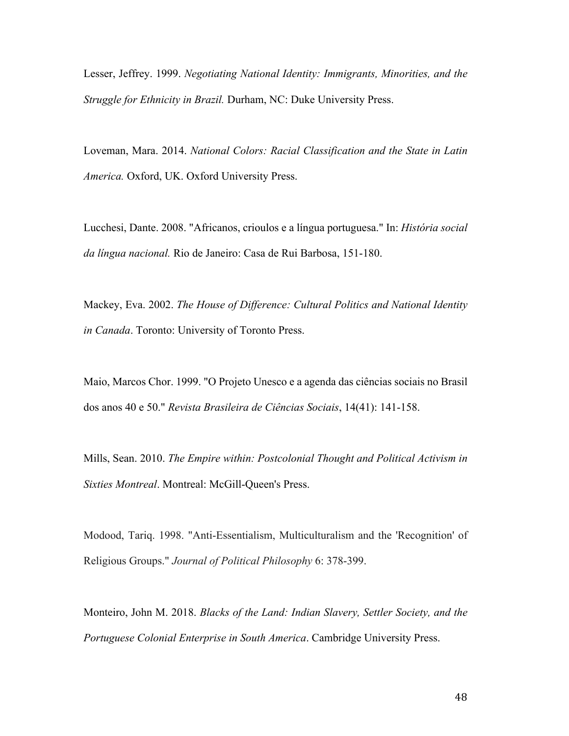Lesser, Jeffrey. 1999. *Negotiating National Identity: Immigrants, Minorities, and the Struggle for Ethnicity in Brazil.* Durham, NC: Duke University Press.

Loveman, Mara. 2014. *National Colors: Racial Classification and the State in Latin America.* Oxford, UK. Oxford University Press.

Lucchesi, Dante. 2008. "Africanos, crioulos e a língua portuguesa." In: *História social da língua nacional.* Rio de Janeiro: Casa de Rui Barbosa, 151-180.

Mackey, Eva. 2002. *The House of Difference: Cultural Politics and National Identity in Canada*. Toronto: University of Toronto Press.

Maio, Marcos Chor. 1999. "O Projeto Unesco e a agenda das ciências sociais no Brasil dos anos 40 e 50." *Revista Brasileira de Ciências Sociais*, 14(41): 141-158.

Mills, Sean. 2010. *The Empire within: Postcolonial Thought and Political Activism in Sixties Montreal*. Montreal: McGill-Queen's Press.

Modood, Tariq. 1998. "Anti-Essentialism, Multiculturalism and the 'Recognition' of Religious Groups." *Journal of Political Philosophy* 6: 378-399.

Monteiro, John M. 2018. *Blacks of the Land: Indian Slavery, Settler Society, and the Portuguese Colonial Enterprise in South America*. Cambridge University Press.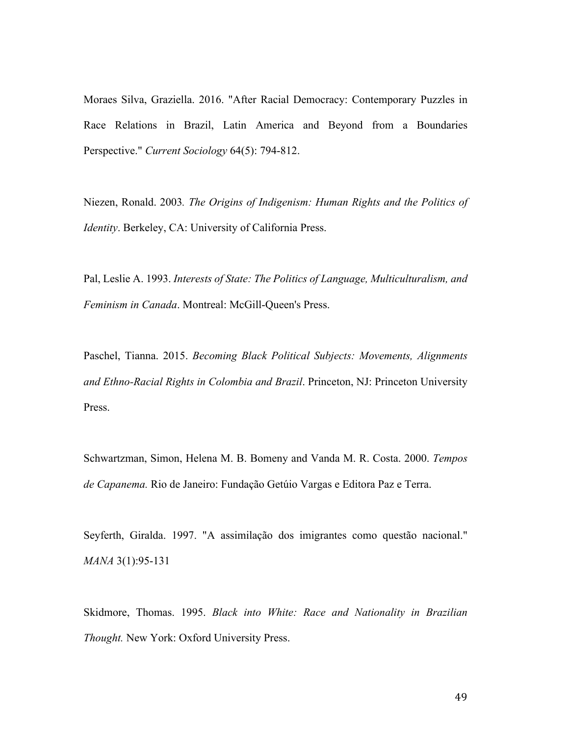Moraes Silva, Graziella. 2016. "After Racial Democracy: Contemporary Puzzles in Race Relations in Brazil, Latin America and Beyond from a Boundaries Perspective." *Current Sociology* 64(5): 794-812.

Niezen, Ronald. 2003*. The Origins of Indigenism: Human Rights and the Politics of Identity*. Berkeley, CA: University of California Press.

Pal, Leslie A. 1993. *Interests of State: The Politics of Language, Multiculturalism, and Feminism in Canada*. Montreal: McGill-Queen's Press.

Paschel, Tianna. 2015. *Becoming Black Political Subjects: Movements, Alignments and Ethno-Racial Rights in Colombia and Brazil*. Princeton, NJ: Princeton University Press.

Schwartzman, Simon, Helena M. B. Bomeny and Vanda M. R. Costa. 2000. *Tempos de Capanema.* Rio de Janeiro: Fundação Getúio Vargas e Editora Paz e Terra.

Seyferth, Giralda. 1997. "A assimilação dos imigrantes como questão nacional." *MANA* 3(1):95-131

Skidmore, Thomas. 1995. *Black into White: Race and Nationality in Brazilian Thought.* New York: Oxford University Press.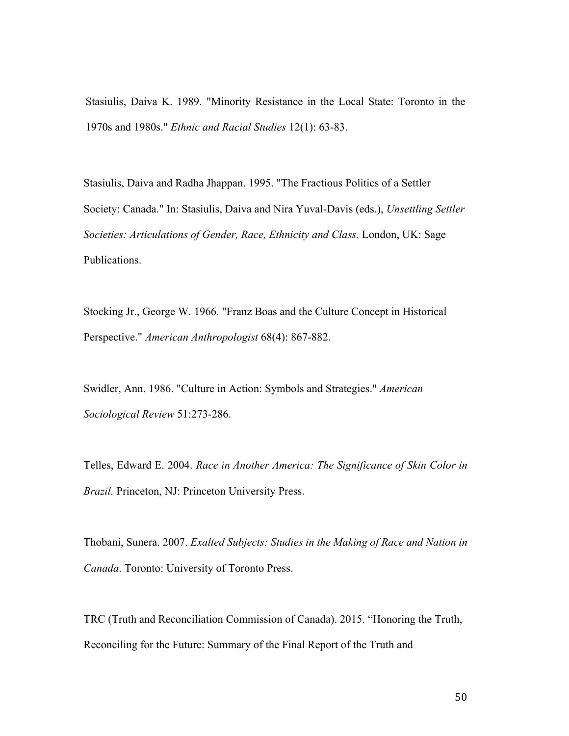Stasiulis, Daiva K. 1989. "Minority Resistance in the Local State: Toronto in the 1970s and 1980s." *Ethnic and Racial Studies* 12(1): 63-83.

Stasiulis, Daiva and Radha Jhappan. 1995. "The Fractious Politics of a Settler Society: Canada." In: Stasiulis, Daiva and Nira Yuval-Davis (eds.), *Unsettling Settler Societies: Articulations of Gender, Race, Ethnicity and Class.* London, UK: Sage Publications.

Stocking Jr., George W. 1966. "Franz Boas and the Culture Concept in Historical Perspective." *American Anthropologist* 68(4): 867-882.

Swidler, Ann. 1986. "Culture in Action: Symbols and Strategies." *American Sociological Review* 51:273-286.

Telles, Edward E. 2004. *Race in Another America: The Significance of Skin Color in Brazil.* Princeton, NJ: Princeton University Press.

Thobani, Sunera. 2007. *Exalted Subjects: Studies in the Making of Race and Nation in Canada*. Toronto: University of Toronto Press.

TRC (Truth and Reconciliation Commission of Canada). 2015. "Honoring the Truth, Reconciling for the Future: Summary of the Final Report of the Truth and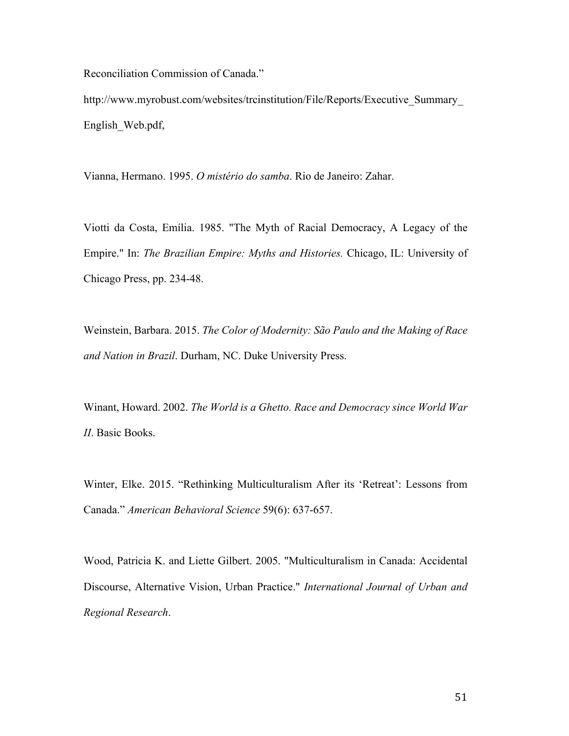Reconciliation Commission of Canada."

http://www.myrobust.com/websites/trcinstitution/File/Reports/Executive\_Summary\_ English\_Web.pdf,

Vianna, Hermano. 1995. *O mistério do samba*. Rio de Janeiro: Zahar.

Viotti da Costa, Emília. 1985. "The Myth of Racial Democracy, A Legacy of the Empire." In: *The Brazilian Empire: Myths and Histories.* Chicago, IL: University of Chicago Press, pp. 234-48.

Weinstein, Barbara. 2015. *The Color of Modernity: São Paulo and the Making of Race and Nation in Brazil*. Durham, NC. Duke University Press.

Winant, Howard. 2002. *The World is a Ghetto. Race and Democracy since World War II*. Basic Books.

Winter, Elke. 2015. "Rethinking Multiculturalism After its 'Retreat': Lessons from Canada." *American Behavioral Science* 59(6): 637-657.

Wood, Patricia K. and Liette Gilbert. 2005. "Multiculturalism in Canada: Accidental Discourse, Alternative Vision, Urban Practice." *International Journal of Urban and Regional Research*.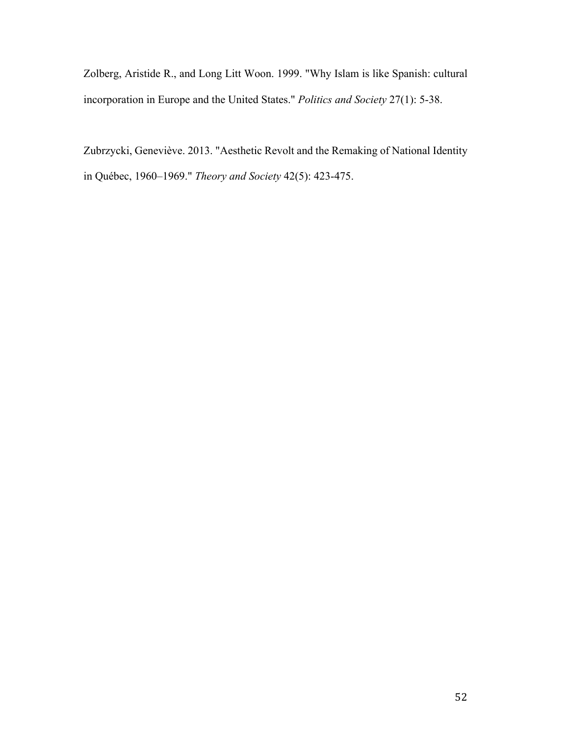Zolberg, Aristide R., and Long Litt Woon. 1999. "Why Islam is like Spanish: cultural incorporation in Europe and the United States." *Politics and Society* 27(1): 5-38.

Zubrzycki, Geneviève. 2013. "Aesthetic Revolt and the Remaking of National Identity in Québec, 1960–1969." *Theory and Society* 42(5): 423-475.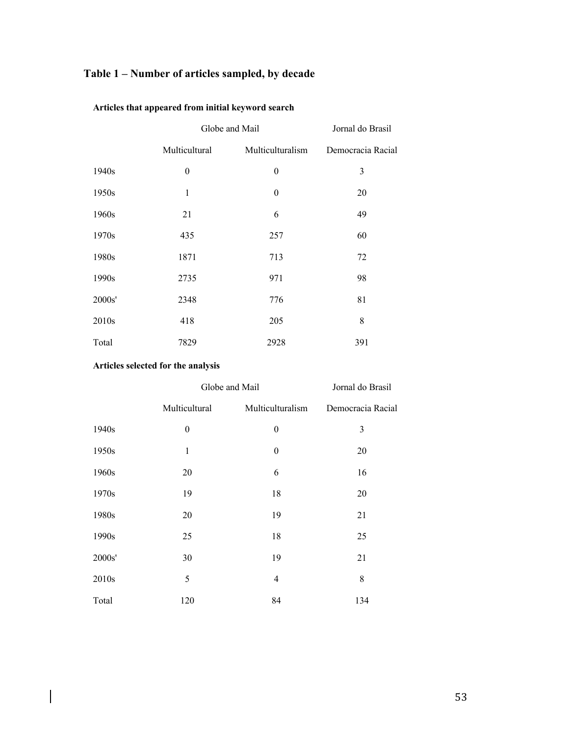## **Table 1 – Number of articles sampled, by decade**

|        | Globe and Mail   |                  | Jornal do Brasil  |
|--------|------------------|------------------|-------------------|
|        | Multicultural    | Multiculturalism | Democracia Racial |
| 1940s  | $\boldsymbol{0}$ | $\boldsymbol{0}$ | $\mathfrak{Z}$    |
| 1950s  | 1                | $\overline{0}$   | 20                |
| 1960s  | 21               | 6                | 49                |
| 1970s  | 435              | 257              | 60                |
| 1980s  | 1871             | 713              | 72                |
| 1990s  | 2735             | 971              | 98                |
| 2000s' | 2348             | 776              | 81                |
| 2010s  | 418              | 205              | 8                 |
| Total  | 7829             | 2928             | 391               |

## **Articles that appeared from initial keyword search**

### **Articles selected for the analysis**

|        | Globe and Mail   |                  | Jornal do Brasil  |
|--------|------------------|------------------|-------------------|
|        | Multicultural    | Multiculturalism | Democracia Racial |
| 1940s  | $\boldsymbol{0}$ | $\boldsymbol{0}$ | 3                 |
| 1950s  | $\mathbf{1}$     | $\boldsymbol{0}$ | 20                |
| 1960s  | 20               | 6                | 16                |
| 1970s  | 19               | 18               | 20                |
| 1980s  | 20               | 19               | 21                |
| 1990s  | 25               | 18               | 25                |
| 2000s' | 30               | 19               | 21                |
| 2010s  | 5                | $\overline{4}$   | 8                 |
| Total  | 120              | 84               | 134               |